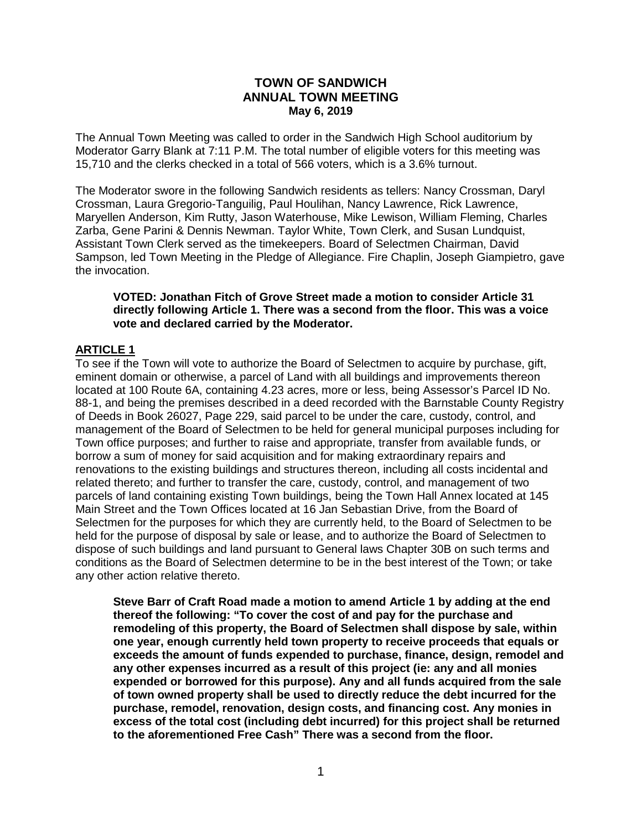#### **TOWN OF SANDWICH ANNUAL TOWN MEETING May 6, 2019**

The Annual Town Meeting was called to order in the Sandwich High School auditorium by Moderator Garry Blank at 7:11 P.M. The total number of eligible voters for this meeting was 15,710 and the clerks checked in a total of 566 voters, which is a 3.6% turnout.

The Moderator swore in the following Sandwich residents as tellers: Nancy Crossman, Daryl Crossman, Laura Gregorio-Tanguilig, Paul Houlihan, Nancy Lawrence, Rick Lawrence, Maryellen Anderson, Kim Rutty, Jason Waterhouse, Mike Lewison, William Fleming, Charles Zarba, Gene Parini & Dennis Newman. Taylor White, Town Clerk, and Susan Lundquist, Assistant Town Clerk served as the timekeepers. Board of Selectmen Chairman, David Sampson, led Town Meeting in the Pledge of Allegiance. Fire Chaplin, Joseph Giampietro, gave the invocation.

#### **VOTED: Jonathan Fitch of Grove Street made a motion to consider Article 31 directly following Article 1. There was a second from the floor. This was a voice vote and declared carried by the Moderator.**

## **ARTICLE 1**

To see if the Town will vote to authorize the Board of Selectmen to acquire by purchase, gift, eminent domain or otherwise, a parcel of Land with all buildings and improvements thereon located at 100 Route 6A, containing 4.23 acres, more or less, being Assessor's Parcel ID No. 88-1, and being the premises described in a deed recorded with the Barnstable County Registry of Deeds in Book 26027, Page 229, said parcel to be under the care, custody, control, and management of the Board of Selectmen to be held for general municipal purposes including for Town office purposes; and further to raise and appropriate, transfer from available funds, or borrow a sum of money for said acquisition and for making extraordinary repairs and renovations to the existing buildings and structures thereon, including all costs incidental and related thereto; and further to transfer the care, custody, control, and management of two parcels of land containing existing Town buildings, being the Town Hall Annex located at 145 Main Street and the Town Offices located at 16 Jan Sebastian Drive, from the Board of Selectmen for the purposes for which they are currently held, to the Board of Selectmen to be held for the purpose of disposal by sale or lease, and to authorize the Board of Selectmen to dispose of such buildings and land pursuant to General laws Chapter 30B on such terms and conditions as the Board of Selectmen determine to be in the best interest of the Town; or take any other action relative thereto.

**Steve Barr of Craft Road made a motion to amend Article 1 by adding at the end thereof the following: "To cover the cost of and pay for the purchase and remodeling of this property, the Board of Selectmen shall dispose by sale, within one year, enough currently held town property to receive proceeds that equals or exceeds the amount of funds expended to purchase, finance, design, remodel and any other expenses incurred as a result of this project (ie: any and all monies expended or borrowed for this purpose). Any and all funds acquired from the sale of town owned property shall be used to directly reduce the debt incurred for the purchase, remodel, renovation, design costs, and financing cost. Any monies in excess of the total cost (including debt incurred) for this project shall be returned to the aforementioned Free Cash" There was a second from the floor.**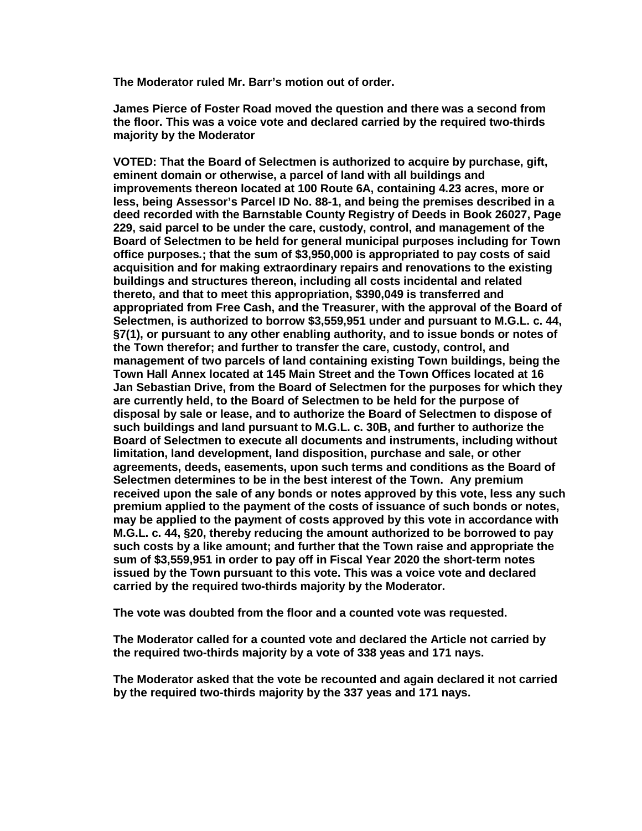**The Moderator ruled Mr. Barr's motion out of order.** 

**James Pierce of Foster Road moved the question and there was a second from the floor. This was a voice vote and declared carried by the required two-thirds majority by the Moderator**

**VOTED: That the Board of Selectmen is authorized to acquire by purchase, gift, eminent domain or otherwise, a parcel of land with all buildings and improvements thereon located at 100 Route 6A, containing 4.23 acres, more or less, being Assessor's Parcel ID No. 88-1, and being the premises described in a deed recorded with the Barnstable County Registry of Deeds in Book 26027, Page 229, said parcel to be under the care, custody, control, and management of the Board of Selectmen to be held for general municipal purposes including for Town office purposes***.***; that the sum of \$3,950,000 is appropriated to pay costs of said acquisition and for making extraordinary repairs and renovations to the existing buildings and structures thereon, including all costs incidental and related thereto, and that to meet this appropriation, \$390,049 is transferred and appropriated from Free Cash, and the Treasurer, with the approval of the Board of Selectmen, is authorized to borrow \$3,559,951 under and pursuant to M.G.L. c. 44, §7(1), or pursuant to any other enabling authority, and to issue bonds or notes of the Town therefor; and further to transfer the care, custody, control, and management of two parcels of land containing existing Town buildings, being the Town Hall Annex located at 145 Main Street and the Town Offices located at 16 Jan Sebastian Drive, from the Board of Selectmen for the purposes for which they are currently held, to the Board of Selectmen to be held for the purpose of disposal by sale or lease, and to authorize the Board of Selectmen to dispose of such buildings and land pursuant to M.G.L. c. 30B, and further to authorize the Board of Selectmen to execute all documents and instruments, including without limitation, land development, land disposition, purchase and sale, or other agreements, deeds, easements, upon such terms and conditions as the Board of Selectmen determines to be in the best interest of the Town. Any premium received upon the sale of any bonds or notes approved by this vote, less any such premium applied to the payment of the costs of issuance of such bonds or notes, may be applied to the payment of costs approved by this vote in accordance with M.G.L. c. 44, §20, thereby reducing the amount authorized to be borrowed to pay such costs by a like amount; and further that the Town raise and appropriate the sum of \$3,559,951 in order to pay off in Fiscal Year 2020 the short-term notes issued by the Town pursuant to this vote. This was a voice vote and declared carried by the required two-thirds majority by the Moderator.**

**The vote was doubted from the floor and a counted vote was requested.**

**The Moderator called for a counted vote and declared the Article not carried by the required two-thirds majority by a vote of 338 yeas and 171 nays.**

**The Moderator asked that the vote be recounted and again declared it not carried by the required two-thirds majority by the 337 yeas and 171 nays.**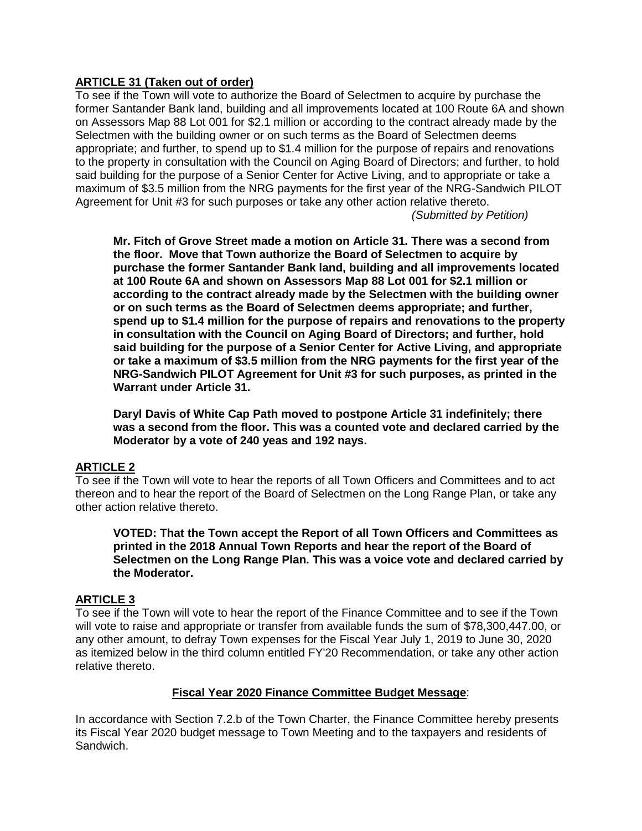## **ARTICLE 31 (Taken out of order)**

To see if the Town will vote to authorize the Board of Selectmen to acquire by purchase the former Santander Bank land, building and all improvements located at 100 Route 6A and shown on Assessors Map 88 Lot 001 for \$2.1 million or according to the contract already made by the Selectmen with the building owner or on such terms as the Board of Selectmen deems appropriate; and further, to spend up to \$1.4 million for the purpose of repairs and renovations to the property in consultation with the Council on Aging Board of Directors; and further, to hold said building for the purpose of a Senior Center for Active Living, and to appropriate or take a maximum of \$3.5 million from the NRG payments for the first year of the NRG-Sandwich PILOT Agreement for Unit #3 for such purposes or take any other action relative thereto.

*(Submitted by Petition)*

**Mr. Fitch of Grove Street made a motion on Article 31. There was a second from the floor. Move that Town authorize the Board of Selectmen to acquire by purchase the former Santander Bank land, building and all improvements located at 100 Route 6A and shown on Assessors Map 88 Lot 001 for \$2.1 million or according to the contract already made by the Selectmen with the building owner or on such terms as the Board of Selectmen deems appropriate; and further, spend up to \$1.4 million for the purpose of repairs and renovations to the property in consultation with the Council on Aging Board of Directors; and further, hold said building for the purpose of a Senior Center for Active Living, and appropriate or take a maximum of \$3.5 million from the NRG payments for the first year of the NRG-Sandwich PILOT Agreement for Unit #3 for such purposes, as printed in the Warrant under Article 31.**

**Daryl Davis of White Cap Path moved to postpone Article 31 indefinitely; there was a second from the floor. This was a counted vote and declared carried by the Moderator by a vote of 240 yeas and 192 nays.**

# **ARTICLE 2**

To see if the Town will vote to hear the reports of all Town Officers and Committees and to act thereon and to hear the report of the Board of Selectmen on the Long Range Plan, or take any other action relative thereto.

**VOTED: That the Town accept the Report of all Town Officers and Committees as printed in the 2018 Annual Town Reports and hear the report of the Board of Selectmen on the Long Range Plan. This was a voice vote and declared carried by the Moderator.**

### **ARTICLE 3**

To see if the Town will vote to hear the report of the Finance Committee and to see if the Town will vote to raise and appropriate or transfer from available funds the sum of \$78,300,447.00, or any other amount, to defray Town expenses for the Fiscal Year July 1, 2019 to June 30, 2020 as itemized below in the third column entitled FY'20 Recommendation, or take any other action relative thereto.

### **Fiscal Year 2020 Finance Committee Budget Message**:

In accordance with Section 7.2.b of the Town Charter, the Finance Committee hereby presents its Fiscal Year 2020 budget message to Town Meeting and to the taxpayers and residents of Sandwich.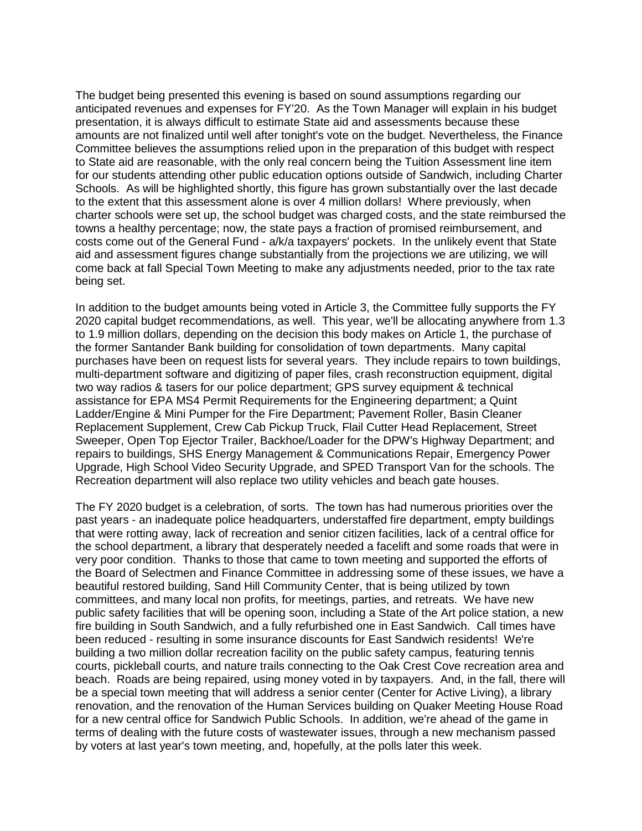The budget being presented this evening is based on sound assumptions regarding our anticipated revenues and expenses for FY'20. As the Town Manager will explain in his budget presentation, it is always difficult to estimate State aid and assessments because these amounts are not finalized until well after tonight's vote on the budget. Nevertheless, the Finance Committee believes the assumptions relied upon in the preparation of this budget with respect to State aid are reasonable, with the only real concern being the Tuition Assessment line item for our students attending other public education options outside of Sandwich, including Charter Schools. As will be highlighted shortly, this figure has grown substantially over the last decade to the extent that this assessment alone is over 4 million dollars! Where previously, when charter schools were set up, the school budget was charged costs, and the state reimbursed the towns a healthy percentage; now, the state pays a fraction of promised reimbursement, and costs come out of the General Fund - a/k/a taxpayers' pockets. In the unlikely event that State aid and assessment figures change substantially from the projections we are utilizing, we will come back at fall Special Town Meeting to make any adjustments needed, prior to the tax rate being set.

In addition to the budget amounts being voted in Article 3, the Committee fully supports the FY 2020 capital budget recommendations, as well. This year, we'll be allocating anywhere from 1.3 to 1.9 million dollars, depending on the decision this body makes on Article 1, the purchase of the former Santander Bank building for consolidation of town departments. Many capital purchases have been on request lists for several years. They include repairs to town buildings, multi-department software and digitizing of paper files, crash reconstruction equipment, digital two way radios & tasers for our police department; GPS survey equipment & technical assistance for EPA MS4 Permit Requirements for the Engineering department; a Quint Ladder/Engine & Mini Pumper for the Fire Department; Pavement Roller, Basin Cleaner Replacement Supplement, Crew Cab Pickup Truck, Flail Cutter Head Replacement, Street Sweeper, Open Top Ejector Trailer, Backhoe/Loader for the DPW's Highway Department; and repairs to buildings, SHS Energy Management & Communications Repair, Emergency Power Upgrade, High School Video Security Upgrade, and SPED Transport Van for the schools. The Recreation department will also replace two utility vehicles and beach gate houses.

The FY 2020 budget is a celebration, of sorts. The town has had numerous priorities over the past years - an inadequate police headquarters, understaffed fire department, empty buildings that were rotting away, lack of recreation and senior citizen facilities, lack of a central office for the school department, a library that desperately needed a facelift and some roads that were in very poor condition. Thanks to those that came to town meeting and supported the efforts of the Board of Selectmen and Finance Committee in addressing some of these issues, we have a beautiful restored building, Sand Hill Community Center, that is being utilized by town committees, and many local non profits, for meetings, parties, and retreats. We have new public safety facilities that will be opening soon, including a State of the Art police station, a new fire building in South Sandwich, and a fully refurbished one in East Sandwich. Call times have been reduced - resulting in some insurance discounts for East Sandwich residents! We're building a two million dollar recreation facility on the public safety campus, featuring tennis courts, pickleball courts, and nature trails connecting to the Oak Crest Cove recreation area and beach. Roads are being repaired, using money voted in by taxpayers. And, in the fall, there will be a special town meeting that will address a senior center (Center for Active Living), a library renovation, and the renovation of the Human Services building on Quaker Meeting House Road for a new central office for Sandwich Public Schools. In addition, we're ahead of the game in terms of dealing with the future costs of wastewater issues, through a new mechanism passed by voters at last year's town meeting, and, hopefully, at the polls later this week.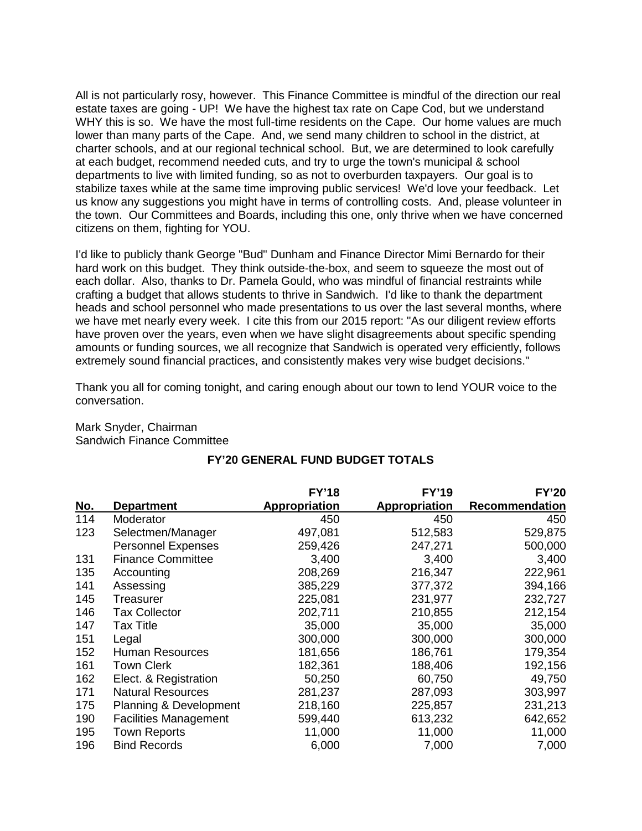All is not particularly rosy, however. This Finance Committee is mindful of the direction our real estate taxes are going - UP! We have the highest tax rate on Cape Cod, but we understand WHY this is so. We have the most full-time residents on the Cape. Our home values are much lower than many parts of the Cape. And, we send many children to school in the district, at charter schools, and at our regional technical school. But, we are determined to look carefully at each budget, recommend needed cuts, and try to urge the town's municipal & school departments to live with limited funding, so as not to overburden taxpayers. Our goal is to stabilize taxes while at the same time improving public services! We'd love your feedback. Let us know any suggestions you might have in terms of controlling costs. And, please volunteer in the town. Our Committees and Boards, including this one, only thrive when we have concerned citizens on them, fighting for YOU.

I'd like to publicly thank George "Bud" Dunham and Finance Director Mimi Bernardo for their hard work on this budget. They think outside-the-box, and seem to squeeze the most out of each dollar. Also, thanks to Dr. Pamela Gould, who was mindful of financial restraints while crafting a budget that allows students to thrive in Sandwich. I'd like to thank the department heads and school personnel who made presentations to us over the last several months, where we have met nearly every week. I cite this from our 2015 report: "As our diligent review efforts have proven over the years, even when we have slight disagreements about specific spending amounts or funding sources, we all recognize that Sandwich is operated very efficiently, follows extremely sound financial practices, and consistently makes very wise budget decisions."

Thank you all for coming tonight, and caring enough about our town to lend YOUR voice to the conversation.

Mark Snyder, Chairman Sandwich Finance Committee

# **FY'20 GENERAL FUND BUDGET TOTALS**

|            |                              | <b>FY'18</b>         | <b>FY'19</b>         | <b>FY'20</b>   |
|------------|------------------------------|----------------------|----------------------|----------------|
| <u>No.</u> | <b>Department</b>            | <b>Appropriation</b> | <b>Appropriation</b> | Recommendation |
| 114        | Moderator                    | 450                  | 450                  | 450            |
| 123        | Selectmen/Manager            | 497,081              | 512,583              | 529,875        |
|            | <b>Personnel Expenses</b>    | 259,426              | 247,271              | 500,000        |
| 131        | <b>Finance Committee</b>     | 3,400                | 3,400                | 3,400          |
| 135        | Accounting                   | 208,269              | 216,347              | 222,961        |
| 141        | Assessing                    | 385,229              | 377,372              | 394,166        |
| 145        | Treasurer                    | 225,081              | 231,977              | 232,727        |
| 146        | <b>Tax Collector</b>         | 202,711              | 210,855              | 212,154        |
| 147        | Tax Title                    | 35,000               | 35,000               | 35,000         |
| 151        | Legal                        | 300,000              | 300,000              | 300,000        |
| 152        | <b>Human Resources</b>       | 181,656              | 186,761              | 179,354        |
| 161        | <b>Town Clerk</b>            | 182,361              | 188,406              | 192,156        |
| 162        | Elect. & Registration        | 50,250               | 60,750               | 49,750         |
| 171        | <b>Natural Resources</b>     | 281,237              | 287,093              | 303,997        |
| 175        | Planning & Development       | 218,160              | 225,857              | 231,213        |
| 190        | <b>Facilities Management</b> | 599,440              | 613,232              | 642,652        |
| 195        | <b>Town Reports</b>          | 11,000               | 11,000               | 11,000         |
| 196        | <b>Bind Records</b>          | 6,000                | 7,000                | 7,000          |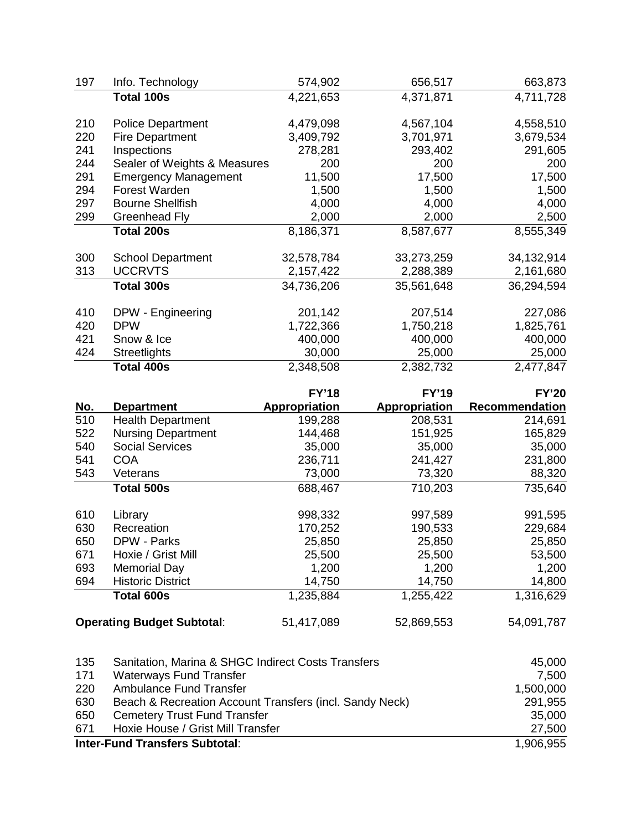| 197        | Info. Technology             | 574,902              | 656,517              | 663,873        |
|------------|------------------------------|----------------------|----------------------|----------------|
|            | Total 100s                   | 4,221,653            | 4,371,871            | 4,711,728      |
| 210        | <b>Police Department</b>     | 4,479,098            | 4,567,104            | 4,558,510      |
| 220        | <b>Fire Department</b>       | 3,409,792            | 3,701,971            | 3,679,534      |
| 241        | Inspections                  | 278,281              | 293,402              | 291,605        |
| 244        | Sealer of Weights & Measures | 200                  | 200                  | 200            |
| 291        | <b>Emergency Management</b>  | 11,500               | 17,500               | 17,500         |
| 294        | Forest Warden                | 1,500                | 1,500                | 1,500          |
| 297        | <b>Bourne Shellfish</b>      | 4,000                | 4,000                | 4,000          |
| 299        | <b>Greenhead Fly</b>         | 2,000                | 2,000                | 2,500          |
|            | <b>Total 200s</b>            | 8,186,371            | 8,587,677            | 8,555,349      |
| 300        | <b>School Department</b>     | 32,578,784           | 33,273,259           | 34,132,914     |
| 313        | <b>UCCRVTS</b>               | 2,157,422            | 2,288,389            | 2,161,680      |
|            | <b>Total 300s</b>            | 34,736,206           | 35,561,648           | 36,294,594     |
| 410        | DPW - Engineering            | 201,142              | 207,514              | 227,086        |
| 420        | <b>DPW</b>                   | 1,722,366            | 1,750,218            | 1,825,761      |
| 421        | Snow & Ice                   | 400,000              | 400,000              | 400,000        |
| 424        | <b>Streetlights</b>          | 30,000               | 25,000               | 25,000         |
|            | <b>Total 400s</b>            | 2,348,508            | 2,382,732            | 2,477,847      |
|            |                              | <b>FY'18</b>         | <b>FY'19</b>         | <b>FY'20</b>   |
| <u>No.</u> | <b>Department</b>            | <b>Appropriation</b> | <b>Appropriation</b> | Recommendation |
| 510        | <b>Health Department</b>     | 199,288              | 208,531              | 214,691        |
| 522        | <b>Nursing Department</b>    | 144,468              | 151,925              | 165,829        |
| 540        | <b>Social Services</b>       | 35,000               | 35,000               | 35,000         |
| 541        | <b>COA</b>                   | 236,711              | 241,427              | 231,800        |
| 543        | Veterans                     | 73,000               | 73,320               | 88,320         |
|            | <b>Total 500s</b>            | 688,467              | 710,203              | 735,640        |
| 610        | Library                      | 998,332              | 997,589              | 991,595        |
| 630        | Recreation                   | 170,252              | 190,533              | 229,684        |
| 650        | DPW - Parks                  | 25,850               | 25,850               | 25,850         |
| 671        | Hoxie / Grist Mill           | 25,500               | 25,500               | 53,500         |
| 693        | <b>Memorial Day</b>          | 1,200                | 1,200                | 1,200          |
| 694        | <b>Historic District</b>     | 14,750               | 14,750               | 14,800         |
|            | <b>Total 600s</b>            | 1,235,884            | 1,255,422            | 1,316,629      |

**Operating Budget Subtotal:** 51,417,089 52,869,553 54,091,787

| 135 | Sanitation, Marina & SHGC Indirect Costs Transfers      | 45,000    |
|-----|---------------------------------------------------------|-----------|
| 171 | <b>Waterways Fund Transfer</b>                          | 7,500     |
| 220 | <b>Ambulance Fund Transfer</b>                          | 1,500,000 |
| 630 | Beach & Recreation Account Transfers (incl. Sandy Neck) | 291,955   |
| 650 | <b>Cemetery Trust Fund Transfer</b>                     | 35,000    |
| 671 | Hoxie House / Grist Mill Transfer                       | 27,500    |
|     | <b>Inter-Fund Transfers Subtotal:</b>                   |           |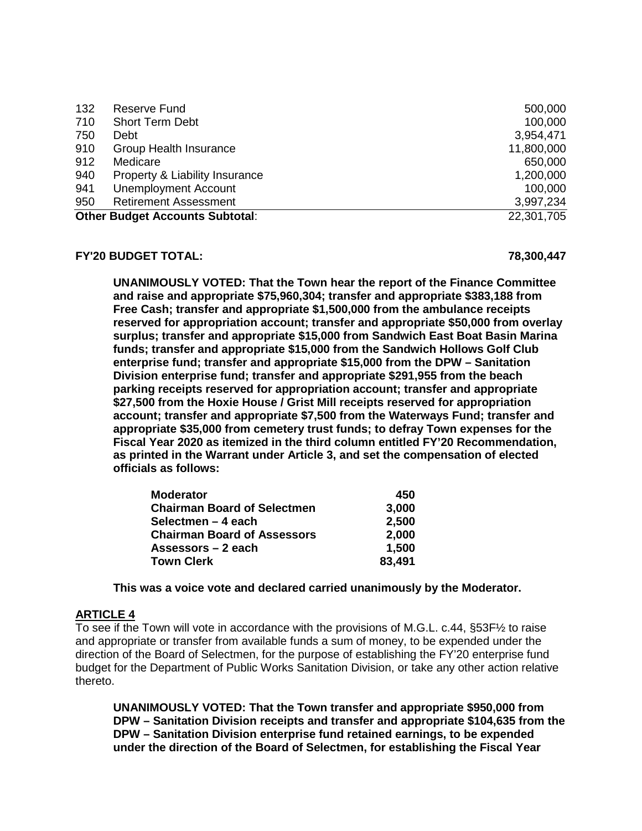| 132 | Reserve Fund                           | 500,000    |
|-----|----------------------------------------|------------|
| 710 | <b>Short Term Debt</b>                 | 100,000    |
| 750 | Debt                                   | 3,954,471  |
| 910 | <b>Group Health Insurance</b>          | 11,800,000 |
| 912 | Medicare                               | 650,000    |
| 940 | Property & Liability Insurance         | 1,200,000  |
| 941 | <b>Unemployment Account</b>            | 100,000    |
| 950 | <b>Retirement Assessment</b>           | 3,997,234  |
|     | <b>Other Budget Accounts Subtotal:</b> | 22,301,705 |

#### **FY'20 BUDGET TOTAL: 78,300,447**

**UNANIMOUSLY VOTED: That the Town hear the report of the Finance Committee and raise and appropriate \$75,960,304; transfer and appropriate \$383,188 from Free Cash; transfer and appropriate \$1,500,000 from the ambulance receipts reserved for appropriation account; transfer and appropriate \$50,000 from overlay surplus; transfer and appropriate \$15,000 from Sandwich East Boat Basin Marina funds; transfer and appropriate \$15,000 from the Sandwich Hollows Golf Club enterprise fund; transfer and appropriate \$15,000 from the DPW – Sanitation Division enterprise fund; transfer and appropriate \$291,955 from the beach parking receipts reserved for appropriation account; transfer and appropriate \$27,500 from the Hoxie House / Grist Mill receipts reserved for appropriation account; transfer and appropriate \$7,500 from the Waterways Fund; transfer and appropriate \$35,000 from cemetery trust funds; to defray Town expenses for the Fiscal Year 2020 as itemized in the third column entitled FY'20 Recommendation, as printed in the Warrant under Article 3, and set the compensation of elected officials as follows:**

| <b>Moderator</b>                   | 450    |
|------------------------------------|--------|
| <b>Chairman Board of Selectmen</b> | 3,000  |
| Selectmen - 4 each                 | 2,500  |
| <b>Chairman Board of Assessors</b> | 2,000  |
| Assessors – 2 each                 | 1,500  |
| <b>Town Clerk</b>                  | 83,491 |

**This was a voice vote and declared carried unanimously by the Moderator.**

# **ARTICLE 4**

To see if the Town will vote in accordance with the provisions of M.G.L. c.44, §53F½ to raise and appropriate or transfer from available funds a sum of money, to be expended under the direction of the Board of Selectmen, for the purpose of establishing the FY'20 enterprise fund budget for the Department of Public Works Sanitation Division, or take any other action relative thereto.

**UNANIMOUSLY VOTED: That the Town transfer and appropriate \$950,000 from DPW – Sanitation Division receipts and transfer and appropriate \$104,635 from the DPW – Sanitation Division enterprise fund retained earnings, to be expended under the direction of the Board of Selectmen, for establishing the Fiscal Year**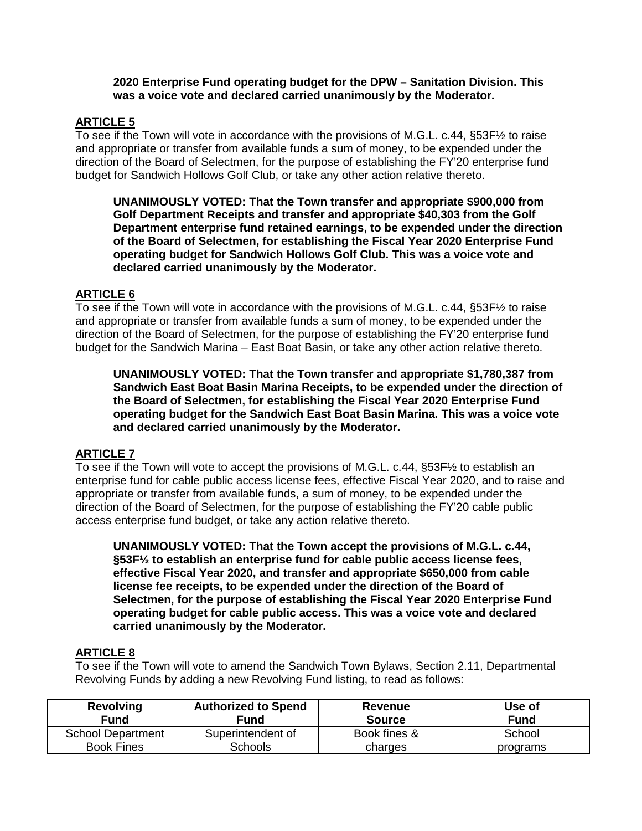#### **2020 Enterprise Fund operating budget for the DPW – Sanitation Division. This was a voice vote and declared carried unanimously by the Moderator.**

## **ARTICLE 5**

To see if the Town will vote in accordance with the provisions of M.G.L. c.44, §53F½ to raise and appropriate or transfer from available funds a sum of money, to be expended under the direction of the Board of Selectmen, for the purpose of establishing the FY'20 enterprise fund budget for Sandwich Hollows Golf Club, or take any other action relative thereto.

**UNANIMOUSLY VOTED: That the Town transfer and appropriate \$900,000 from Golf Department Receipts and transfer and appropriate \$40,303 from the Golf Department enterprise fund retained earnings, to be expended under the direction of the Board of Selectmen, for establishing the Fiscal Year 2020 Enterprise Fund operating budget for Sandwich Hollows Golf Club. This was a voice vote and declared carried unanimously by the Moderator.**

# **ARTICLE 6**

To see if the Town will vote in accordance with the provisions of M.G.L. c.44, §53F½ to raise and appropriate or transfer from available funds a sum of money, to be expended under the direction of the Board of Selectmen, for the purpose of establishing the FY'20 enterprise fund budget for the Sandwich Marina – East Boat Basin, or take any other action relative thereto.

**UNANIMOUSLY VOTED: That the Town transfer and appropriate \$1,780,387 from Sandwich East Boat Basin Marina Receipts, to be expended under the direction of the Board of Selectmen, for establishing the Fiscal Year 2020 Enterprise Fund operating budget for the Sandwich East Boat Basin Marina. This was a voice vote and declared carried unanimously by the Moderator.**

### **ARTICLE 7**

To see if the Town will vote to accept the provisions of M.G.L. c.44, §53F½ to establish an enterprise fund for cable public access license fees, effective Fiscal Year 2020, and to raise and appropriate or transfer from available funds, a sum of money, to be expended under the direction of the Board of Selectmen, for the purpose of establishing the FY'20 cable public access enterprise fund budget, or take any action relative thereto.

**UNANIMOUSLY VOTED: That the Town accept the provisions of M.G.L. c.44, §53F½ to establish an enterprise fund for cable public access license fees, effective Fiscal Year 2020, and transfer and appropriate \$650,000 from cable license fee receipts, to be expended under the direction of the Board of Selectmen, for the purpose of establishing the Fiscal Year 2020 Enterprise Fund operating budget for cable public access. This was a voice vote and declared carried unanimously by the Moderator.**

# **ARTICLE 8**

To see if the Town will vote to amend the Sandwich Town Bylaws, Section 2.11, Departmental Revolving Funds by adding a new Revolving Fund listing, to read as follows:

| <b>Revolving</b><br>Fund | <b>Authorized to Spend</b><br>Fund | Revenue<br><b>Source</b> | Use of<br>Fund |
|--------------------------|------------------------------------|--------------------------|----------------|
| <b>School Department</b> | Superintendent of                  | Book fines &             | School         |
| <b>Book Fines</b>        | <b>Schools</b>                     | charges                  | programs       |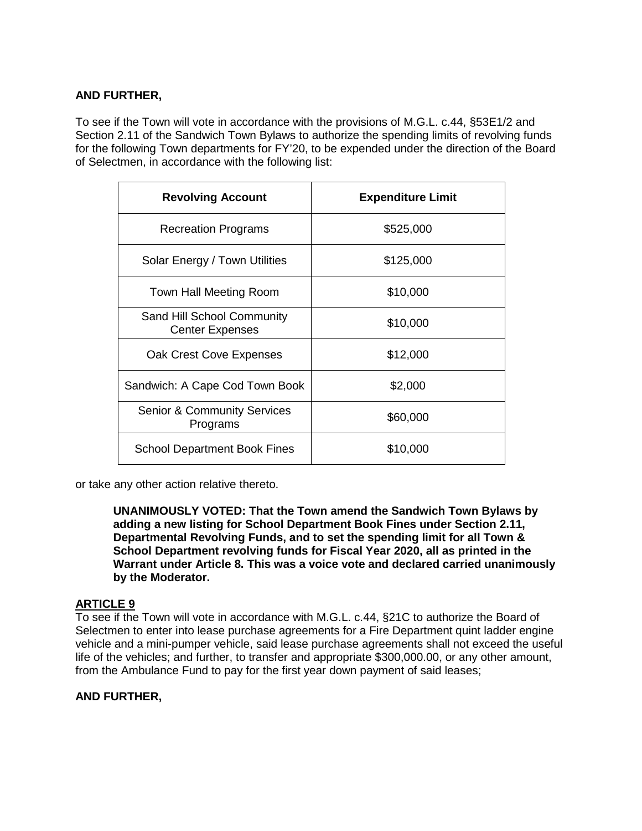## **AND FURTHER,**

To see if the Town will vote in accordance with the provisions of M.G.L. c.44, §53E1/2 and Section 2.11 of the Sandwich Town Bylaws to authorize the spending limits of revolving funds for the following Town departments for FY'20, to be expended under the direction of the Board of Selectmen, in accordance with the following list:

| <b>Revolving Account</b>                             | <b>Expenditure Limit</b> |
|------------------------------------------------------|--------------------------|
| <b>Recreation Programs</b>                           | \$525,000                |
| Solar Energy / Town Utilities                        | \$125,000                |
| Town Hall Meeting Room                               | \$10,000                 |
| Sand Hill School Community<br><b>Center Expenses</b> | \$10,000                 |
| Oak Crest Cove Expenses                              | \$12,000                 |
| Sandwich: A Cape Cod Town Book                       | \$2,000                  |
| <b>Senior &amp; Community Services</b><br>Programs   | \$60,000                 |
| <b>School Department Book Fines</b>                  | \$10,000                 |

or take any other action relative thereto.

**UNANIMOUSLY VOTED: That the Town amend the Sandwich Town Bylaws by adding a new listing for School Department Book Fines under Section 2.11, Departmental Revolving Funds, and to set the spending limit for all Town & School Department revolving funds for Fiscal Year 2020, all as printed in the Warrant under Article 8. This was a voice vote and declared carried unanimously by the Moderator.**

# **ARTICLE 9**

To see if the Town will vote in accordance with M.G.L. c.44, §21C to authorize the Board of Selectmen to enter into lease purchase agreements for a Fire Department quint ladder engine vehicle and a mini-pumper vehicle, said lease purchase agreements shall not exceed the useful life of the vehicles; and further, to transfer and appropriate \$300,000.00, or any other amount, from the Ambulance Fund to pay for the first year down payment of said leases;

# **AND FURTHER,**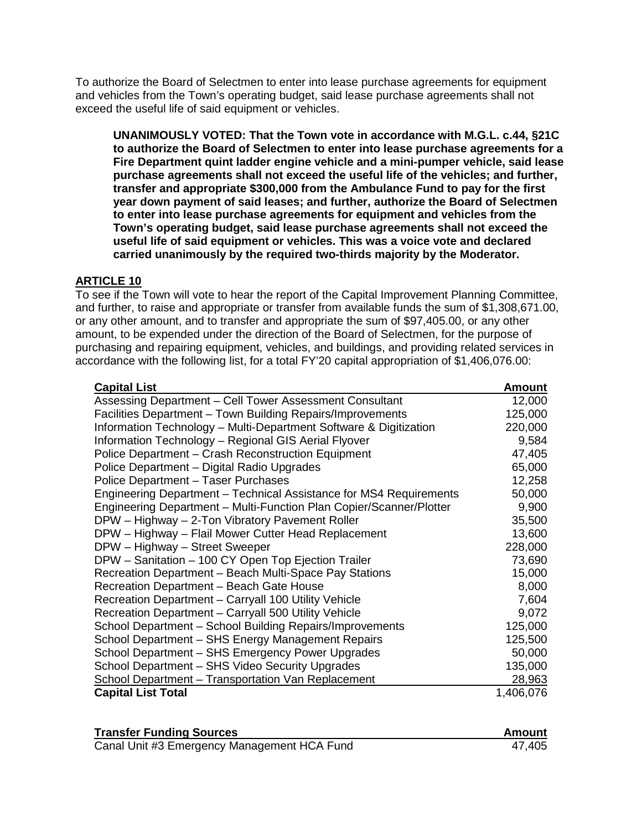To authorize the Board of Selectmen to enter into lease purchase agreements for equipment and vehicles from the Town's operating budget, said lease purchase agreements shall not exceed the useful life of said equipment or vehicles.

**UNANIMOUSLY VOTED: That the Town vote in accordance with M.G.L. c.44, §21C to authorize the Board of Selectmen to enter into lease purchase agreements for a Fire Department quint ladder engine vehicle and a mini-pumper vehicle, said lease purchase agreements shall not exceed the useful life of the vehicles; and further, transfer and appropriate \$300,000 from the Ambulance Fund to pay for the first year down payment of said leases; and further, authorize the Board of Selectmen to enter into lease purchase agreements for equipment and vehicles from the Town's operating budget, said lease purchase agreements shall not exceed the useful life of said equipment or vehicles. This was a voice vote and declared carried unanimously by the required two-thirds majority by the Moderator.**

### **ARTICLE 10**

To see if the Town will vote to hear the report of the Capital Improvement Planning Committee, and further, to raise and appropriate or transfer from available funds the sum of \$1,308,671.00, or any other amount, and to transfer and appropriate the sum of \$97,405.00, or any other amount, to be expended under the direction of the Board of Selectmen, for the purpose of purchasing and repairing equipment, vehicles, and buildings, and providing related services in accordance with the following list, for a total FY'20 capital appropriation of \$1,406,076.00:

| <b>Capital List</b>                                                 | <u>Amount</u> |
|---------------------------------------------------------------------|---------------|
| Assessing Department - Cell Tower Assessment Consultant             | 12,000        |
| Facilities Department - Town Building Repairs/Improvements          | 125,000       |
| Information Technology – Multi-Department Software & Digitization   | 220,000       |
| Information Technology - Regional GIS Aerial Flyover                | 9,584         |
| Police Department – Crash Reconstruction Equipment                  | 47,405        |
| Police Department - Digital Radio Upgrades                          | 65,000        |
| Police Department - Taser Purchases                                 | 12,258        |
| Engineering Department – Technical Assistance for MS4 Requirements  | 50,000        |
| Engineering Department - Multi-Function Plan Copier/Scanner/Plotter | 9,900         |
| DPW - Highway - 2-Ton Vibratory Pavement Roller                     | 35,500        |
| DPW - Highway - Flail Mower Cutter Head Replacement                 | 13,600        |
| DPW - Highway - Street Sweeper                                      | 228,000       |
| DPW - Sanitation - 100 CY Open Top Ejection Trailer                 | 73,690        |
| Recreation Department - Beach Multi-Space Pay Stations              | 15,000        |
| Recreation Department - Beach Gate House                            | 8,000         |
| Recreation Department - Carryall 100 Utility Vehicle                | 7,604         |
| Recreation Department - Carryall 500 Utility Vehicle                | 9,072         |
| School Department - School Building Repairs/Improvements            | 125,000       |
| School Department - SHS Energy Management Repairs                   | 125,500       |
| School Department - SHS Emergency Power Upgrades                    | 50,000        |
| School Department - SHS Video Security Upgrades                     | 135,000       |
| School Department - Transportation Van Replacement                  | 28,963        |
| <b>Capital List Total</b>                                           | 1,406,076     |

| <b>Transfer Funding Sources</b>             | Amount |
|---------------------------------------------|--------|
| Canal Unit #3 Emergency Management HCA Fund | 47,405 |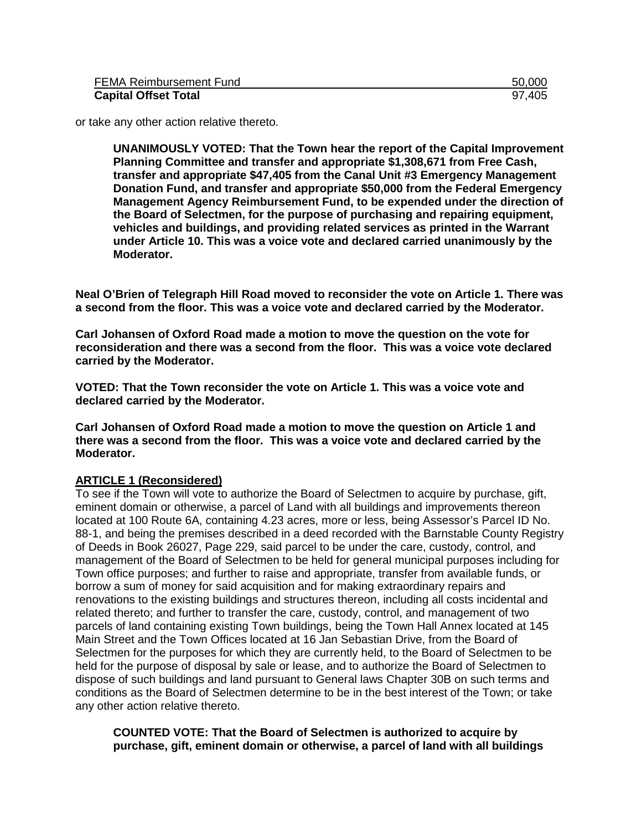| FEMA Reimbursement Fund     | 50,000 |
|-----------------------------|--------|
| <b>Capital Offset Total</b> | 97,405 |

or take any other action relative thereto.

**UNANIMOUSLY VOTED: That the Town hear the report of the Capital Improvement Planning Committee and transfer and appropriate \$1,308,671 from Free Cash, transfer and appropriate \$47,405 from the Canal Unit #3 Emergency Management Donation Fund, and transfer and appropriate \$50,000 from the Federal Emergency Management Agency Reimbursement Fund, to be expended under the direction of the Board of Selectmen, for the purpose of purchasing and repairing equipment, vehicles and buildings, and providing related services as printed in the Warrant under Article 10. This was a voice vote and declared carried unanimously by the Moderator.**

**Neal O'Brien of Telegraph Hill Road moved to reconsider the vote on Article 1. There was a second from the floor. This was a voice vote and declared carried by the Moderator.**

**Carl Johansen of Oxford Road made a motion to move the question on the vote for reconsideration and there was a second from the floor. This was a voice vote declared carried by the Moderator.**

**VOTED: That the Town reconsider the vote on Article 1. This was a voice vote and declared carried by the Moderator.** 

**Carl Johansen of Oxford Road made a motion to move the question on Article 1 and there was a second from the floor. This was a voice vote and declared carried by the Moderator.**

#### **ARTICLE 1 (Reconsidered)**

To see if the Town will vote to authorize the Board of Selectmen to acquire by purchase, gift, eminent domain or otherwise, a parcel of Land with all buildings and improvements thereon located at 100 Route 6A, containing 4.23 acres, more or less, being Assessor's Parcel ID No. 88-1, and being the premises described in a deed recorded with the Barnstable County Registry of Deeds in Book 26027, Page 229, said parcel to be under the care, custody, control, and management of the Board of Selectmen to be held for general municipal purposes including for Town office purposes; and further to raise and appropriate, transfer from available funds, or borrow a sum of money for said acquisition and for making extraordinary repairs and renovations to the existing buildings and structures thereon, including all costs incidental and related thereto; and further to transfer the care, custody, control, and management of two parcels of land containing existing Town buildings, being the Town Hall Annex located at 145 Main Street and the Town Offices located at 16 Jan Sebastian Drive, from the Board of Selectmen for the purposes for which they are currently held, to the Board of Selectmen to be held for the purpose of disposal by sale or lease, and to authorize the Board of Selectmen to dispose of such buildings and land pursuant to General laws Chapter 30B on such terms and conditions as the Board of Selectmen determine to be in the best interest of the Town; or take any other action relative thereto.

**COUNTED VOTE: That the Board of Selectmen is authorized to acquire by purchase, gift, eminent domain or otherwise, a parcel of land with all buildings**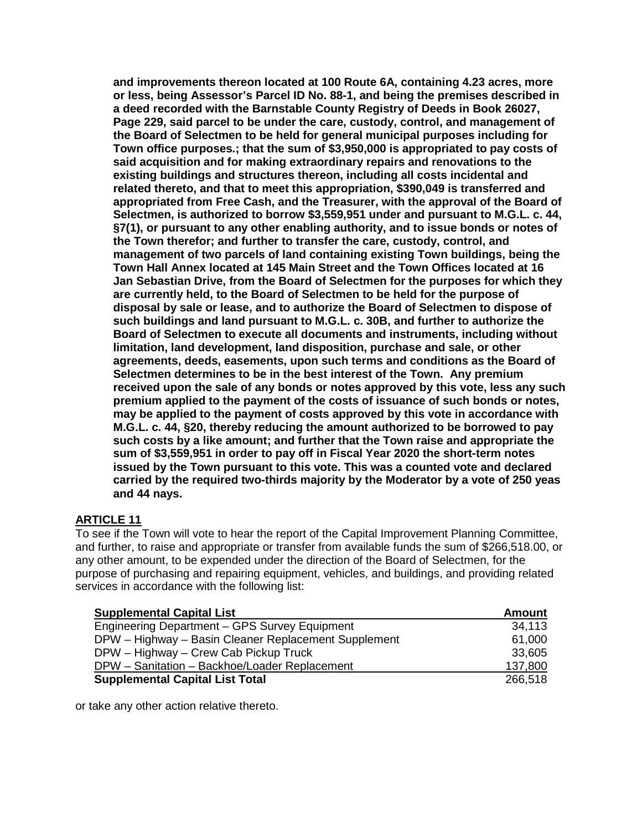**and improvements thereon located at 100 Route 6A, containing 4.23 acres, more or less, being Assessor's Parcel ID No. 88-1, and being the premises described in a deed recorded with the Barnstable County Registry of Deeds in Book 26027, Page 229, said parcel to be under the care, custody, control, and management of the Board of Selectmen to be held for general municipal purposes including for Town office purposes***.***; that the sum of \$3,950,000 is appropriated to pay costs of said acquisition and for making extraordinary repairs and renovations to the existing buildings and structures thereon, including all costs incidental and related thereto, and that to meet this appropriation, \$390,049 is transferred and appropriated from Free Cash, and the Treasurer, with the approval of the Board of Selectmen, is authorized to borrow \$3,559,951 under and pursuant to M.G.L. c. 44, §7(1), or pursuant to any other enabling authority, and to issue bonds or notes of the Town therefor; and further to transfer the care, custody, control, and management of two parcels of land containing existing Town buildings, being the Town Hall Annex located at 145 Main Street and the Town Offices located at 16 Jan Sebastian Drive, from the Board of Selectmen for the purposes for which they are currently held, to the Board of Selectmen to be held for the purpose of disposal by sale or lease, and to authorize the Board of Selectmen to dispose of such buildings and land pursuant to M.G.L. c. 30B, and further to authorize the Board of Selectmen to execute all documents and instruments, including without limitation, land development, land disposition, purchase and sale, or other agreements, deeds, easements, upon such terms and conditions as the Board of Selectmen determines to be in the best interest of the Town. Any premium received upon the sale of any bonds or notes approved by this vote, less any such premium applied to the payment of the costs of issuance of such bonds or notes, may be applied to the payment of costs approved by this vote in accordance with M.G.L. c. 44, §20, thereby reducing the amount authorized to be borrowed to pay such costs by a like amount; and further that the Town raise and appropriate the sum of \$3,559,951 in order to pay off in Fiscal Year 2020 the short-term notes issued by the Town pursuant to this vote. This was a counted vote and declared carried by the required two-thirds majority by the Moderator by a vote of 250 yeas and 44 nays.**

# **ARTICLE 11**

To see if the Town will vote to hear the report of the Capital Improvement Planning Committee, and further, to raise and appropriate or transfer from available funds the sum of \$266,518.00, or any other amount, to be expended under the direction of the Board of Selectmen, for the purpose of purchasing and repairing equipment, vehicles, and buildings, and providing related services in accordance with the following list:

| <b>Supplemental Capital List</b>                     | <b>Amount</b> |
|------------------------------------------------------|---------------|
| Engineering Department - GPS Survey Equipment        | 34,113        |
| DPW - Highway - Basin Cleaner Replacement Supplement | 61,000        |
| DPW - Highway - Crew Cab Pickup Truck                | 33,605        |
| DPW - Sanitation - Backhoe/Loader Replacement        | 137,800       |
| <b>Supplemental Capital List Total</b>               | 266,518       |

or take any other action relative thereto.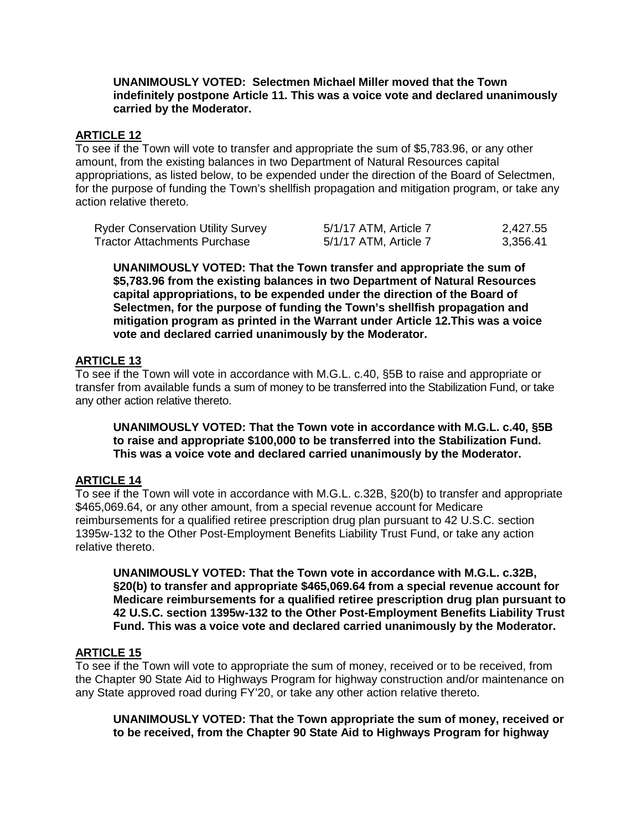#### **UNANIMOUSLY VOTED: Selectmen Michael Miller moved that the Town indefinitely postpone Article 11. This was a voice vote and declared unanimously carried by the Moderator.**

## **ARTICLE 12**

To see if the Town will vote to transfer and appropriate the sum of \$5,783.96, or any other amount, from the existing balances in two Department of Natural Resources capital appropriations, as listed below, to be expended under the direction of the Board of Selectmen, for the purpose of funding the Town's shellfish propagation and mitigation program, or take any action relative thereto.

| <b>Ryder Conservation Utility Survey</b> | 5/1/17 ATM, Article 7 | 2,427.55 |
|------------------------------------------|-----------------------|----------|
| Tractor Attachments Purchase             | 5/1/17 ATM, Article 7 | 3,356.41 |

**UNANIMOUSLY VOTED: That the Town transfer and appropriate the sum of \$5,783.96 from the existing balances in two Department of Natural Resources capital appropriations, to be expended under the direction of the Board of Selectmen, for the purpose of funding the Town's shellfish propagation and mitigation program as printed in the Warrant under Article 12.This was a voice vote and declared carried unanimously by the Moderator.**

### **ARTICLE 13**

To see if the Town will vote in accordance with M.G.L. c.40, §5B to raise and appropriate or transfer from available funds a sum of money to be transferred into the Stabilization Fund, or take any other action relative thereto.

**UNANIMOUSLY VOTED: That the Town vote in accordance with M.G.L. c.40, §5B to raise and appropriate \$100,000 to be transferred into the Stabilization Fund. This was a voice vote and declared carried unanimously by the Moderator.**

### **ARTICLE 14**

To see if the Town will vote in accordance with M.G.L. c.32B, §20(b) to transfer and appropriate \$465,069.64, or any other amount, from a special revenue account for Medicare reimbursements for a qualified retiree prescription drug plan pursuant to 42 U.S.C. section 1395w-132 to the Other Post-Employment Benefits Liability Trust Fund, or take any action relative thereto.

**UNANIMOUSLY VOTED: That the Town vote in accordance with M.G.L. c.32B, §20(b) to transfer and appropriate \$465,069.64 from a special revenue account for Medicare reimbursements for a qualified retiree prescription drug plan pursuant to 42 U.S.C. section 1395w-132 to the Other Post-Employment Benefits Liability Trust Fund. This was a voice vote and declared carried unanimously by the Moderator.**

### **ARTICLE 15**

To see if the Town will vote to appropriate the sum of money, received or to be received, from the Chapter 90 State Aid to Highways Program for highway construction and/or maintenance on any State approved road during FY'20, or take any other action relative thereto.

**UNANIMOUSLY VOTED: That the Town appropriate the sum of money, received or to be received, from the Chapter 90 State Aid to Highways Program for highway**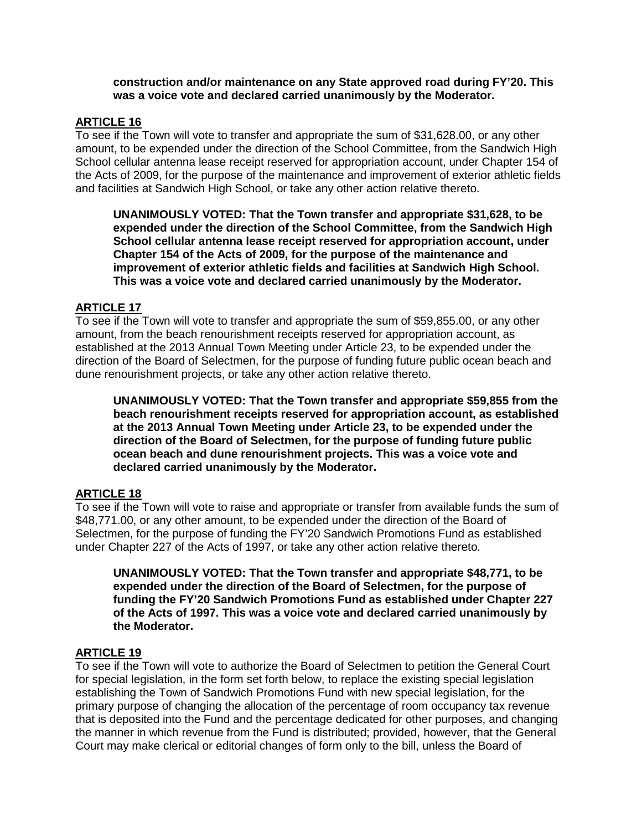#### **construction and/or maintenance on any State approved road during FY'20. This was a voice vote and declared carried unanimously by the Moderator.**

#### **ARTICLE 16**

To see if the Town will vote to transfer and appropriate the sum of \$31,628.00, or any other amount, to be expended under the direction of the School Committee, from the Sandwich High School cellular antenna lease receipt reserved for appropriation account, under Chapter 154 of the Acts of 2009, for the purpose of the maintenance and improvement of exterior athletic fields and facilities at Sandwich High School, or take any other action relative thereto.

**UNANIMOUSLY VOTED: That the Town transfer and appropriate \$31,628, to be expended under the direction of the School Committee, from the Sandwich High School cellular antenna lease receipt reserved for appropriation account, under Chapter 154 of the Acts of 2009, for the purpose of the maintenance and improvement of exterior athletic fields and facilities at Sandwich High School. This was a voice vote and declared carried unanimously by the Moderator.**

### **ARTICLE 17**

To see if the Town will vote to transfer and appropriate the sum of \$59,855.00, or any other amount, from the beach renourishment receipts reserved for appropriation account, as established at the 2013 Annual Town Meeting under Article 23, to be expended under the direction of the Board of Selectmen, for the purpose of funding future public ocean beach and dune renourishment projects, or take any other action relative thereto.

**UNANIMOUSLY VOTED: That the Town transfer and appropriate \$59,855 from the beach renourishment receipts reserved for appropriation account, as established at the 2013 Annual Town Meeting under Article 23, to be expended under the direction of the Board of Selectmen, for the purpose of funding future public ocean beach and dune renourishment projects. This was a voice vote and declared carried unanimously by the Moderator.**

# **ARTICLE 18**

To see if the Town will vote to raise and appropriate or transfer from available funds the sum of \$48,771.00, or any other amount, to be expended under the direction of the Board of Selectmen, for the purpose of funding the FY'20 Sandwich Promotions Fund as established under Chapter 227 of the Acts of 1997, or take any other action relative thereto.

**UNANIMOUSLY VOTED: That the Town transfer and appropriate \$48,771, to be expended under the direction of the Board of Selectmen, for the purpose of funding the FY'20 Sandwich Promotions Fund as established under Chapter 227 of the Acts of 1997. This was a voice vote and declared carried unanimously by the Moderator.**

#### **ARTICLE 19**

To see if the Town will vote to authorize the Board of Selectmen to petition the General Court for special legislation, in the form set forth below, to replace the existing special legislation establishing the Town of Sandwich Promotions Fund with new special legislation, for the primary purpose of changing the allocation of the percentage of room occupancy tax revenue that is deposited into the Fund and the percentage dedicated for other purposes, and changing the manner in which revenue from the Fund is distributed; provided, however, that the General Court may make clerical or editorial changes of form only to the bill, unless the Board of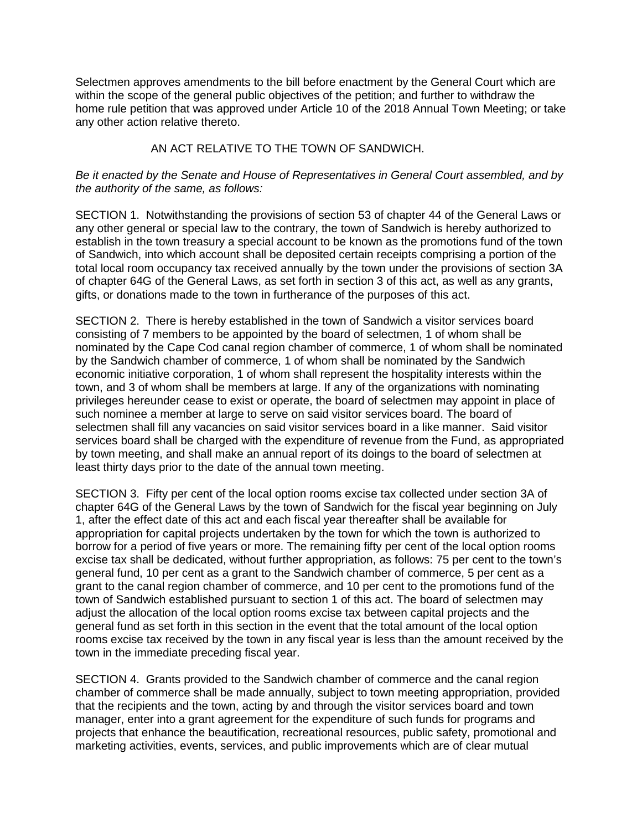Selectmen approves amendments to the bill before enactment by the General Court which are within the scope of the general public objectives of the petition; and further to withdraw the home rule petition that was approved under Article 10 of the 2018 Annual Town Meeting; or take any other action relative thereto.

#### AN ACT RELATIVE TO THE TOWN OF SANDWICH.

#### *Be it enacted by the Senate and House of Representatives in General Court assembled, and by the authority of the same, as follows:*

SECTION 1. Notwithstanding the provisions of section 53 of chapter 44 of the General Laws or any other general or special law to the contrary, the town of Sandwich is hereby authorized to establish in the town treasury a special account to be known as the promotions fund of the town of Sandwich, into which account shall be deposited certain receipts comprising a portion of the total local room occupancy tax received annually by the town under the provisions of section 3A of chapter 64G of the General Laws, as set forth in section 3 of this act, as well as any grants, gifts, or donations made to the town in furtherance of the purposes of this act.

SECTION 2. There is hereby established in the town of Sandwich a visitor services board consisting of 7 members to be appointed by the board of selectmen, 1 of whom shall be nominated by the Cape Cod canal region chamber of commerce, 1 of whom shall be nominated by the Sandwich chamber of commerce, 1 of whom shall be nominated by the Sandwich economic initiative corporation, 1 of whom shall represent the hospitality interests within the town, and 3 of whom shall be members at large. If any of the organizations with nominating privileges hereunder cease to exist or operate, the board of selectmen may appoint in place of such nominee a member at large to serve on said visitor services board. The board of selectmen shall fill any vacancies on said visitor services board in a like manner. Said visitor services board shall be charged with the expenditure of revenue from the Fund, as appropriated by town meeting, and shall make an annual report of its doings to the board of selectmen at least thirty days prior to the date of the annual town meeting.

SECTION 3. Fifty per cent of the local option rooms excise tax collected under section 3A of chapter 64G of the General Laws by the town of Sandwich for the fiscal year beginning on July 1, after the effect date of this act and each fiscal year thereafter shall be available for appropriation for capital projects undertaken by the town for which the town is authorized to borrow for a period of five years or more. The remaining fifty per cent of the local option rooms excise tax shall be dedicated, without further appropriation, as follows: 75 per cent to the town's general fund, 10 per cent as a grant to the Sandwich chamber of commerce, 5 per cent as a grant to the canal region chamber of commerce, and 10 per cent to the promotions fund of the town of Sandwich established pursuant to section 1 of this act. The board of selectmen may adjust the allocation of the local option rooms excise tax between capital projects and the general fund as set forth in this section in the event that the total amount of the local option rooms excise tax received by the town in any fiscal year is less than the amount received by the town in the immediate preceding fiscal year.

SECTION 4. Grants provided to the Sandwich chamber of commerce and the canal region chamber of commerce shall be made annually, subject to town meeting appropriation, provided that the recipients and the town, acting by and through the visitor services board and town manager, enter into a grant agreement for the expenditure of such funds for programs and projects that enhance the beautification, recreational resources, public safety, promotional and marketing activities, events, services, and public improvements which are of clear mutual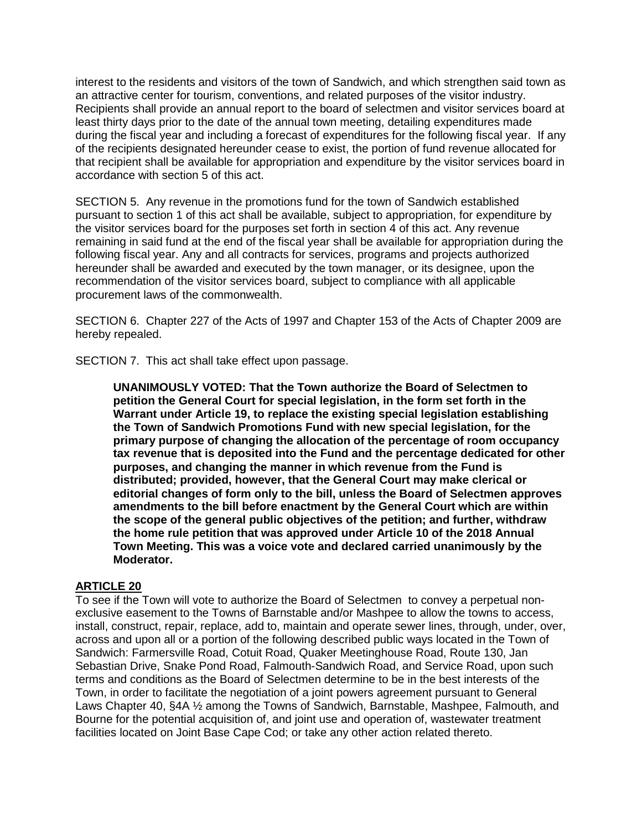interest to the residents and visitors of the town of Sandwich, and which strengthen said town as an attractive center for tourism, conventions, and related purposes of the visitor industry. Recipients shall provide an annual report to the board of selectmen and visitor services board at least thirty days prior to the date of the annual town meeting, detailing expenditures made during the fiscal year and including a forecast of expenditures for the following fiscal year. If any of the recipients designated hereunder cease to exist, the portion of fund revenue allocated for that recipient shall be available for appropriation and expenditure by the visitor services board in accordance with section 5 of this act.

SECTION 5. Any revenue in the promotions fund for the town of Sandwich established pursuant to section 1 of this act shall be available, subject to appropriation, for expenditure by the visitor services board for the purposes set forth in section 4 of this act. Any revenue remaining in said fund at the end of the fiscal year shall be available for appropriation during the following fiscal year. Any and all contracts for services, programs and projects authorized hereunder shall be awarded and executed by the town manager, or its designee, upon the recommendation of the visitor services board, subject to compliance with all applicable procurement laws of the commonwealth.

SECTION 6. Chapter 227 of the Acts of 1997 and Chapter 153 of the Acts of Chapter 2009 are hereby repealed.

SECTION 7. This act shall take effect upon passage.

**UNANIMOUSLY VOTED: That the Town authorize the Board of Selectmen to petition the General Court for special legislation, in the form set forth in the Warrant under Article 19, to replace the existing special legislation establishing the Town of Sandwich Promotions Fund with new special legislation, for the primary purpose of changing the allocation of the percentage of room occupancy tax revenue that is deposited into the Fund and the percentage dedicated for other purposes, and changing the manner in which revenue from the Fund is distributed; provided, however, that the General Court may make clerical or editorial changes of form only to the bill, unless the Board of Selectmen approves amendments to the bill before enactment by the General Court which are within the scope of the general public objectives of the petition; and further, withdraw the home rule petition that was approved under Article 10 of the 2018 Annual Town Meeting. This was a voice vote and declared carried unanimously by the Moderator.**

### **ARTICLE 20**

To see if the Town will vote to authorize the Board of Selectmen to convey a perpetual nonexclusive easement to the Towns of Barnstable and/or Mashpee to allow the towns to access, install, construct, repair, replace, add to, maintain and operate sewer lines, through, under, over, across and upon all or a portion of the following described public ways located in the Town of Sandwich: Farmersville Road, Cotuit Road, Quaker Meetinghouse Road, Route 130, Jan Sebastian Drive, Snake Pond Road, Falmouth-Sandwich Road, and Service Road, upon such terms and conditions as the Board of Selectmen determine to be in the best interests of the Town, in order to facilitate the negotiation of a joint powers agreement pursuant to General Laws Chapter 40, §4A ½ among the Towns of Sandwich, Barnstable, Mashpee, Falmouth, and Bourne for the potential acquisition of, and joint use and operation of, wastewater treatment facilities located on Joint Base Cape Cod; or take any other action related thereto.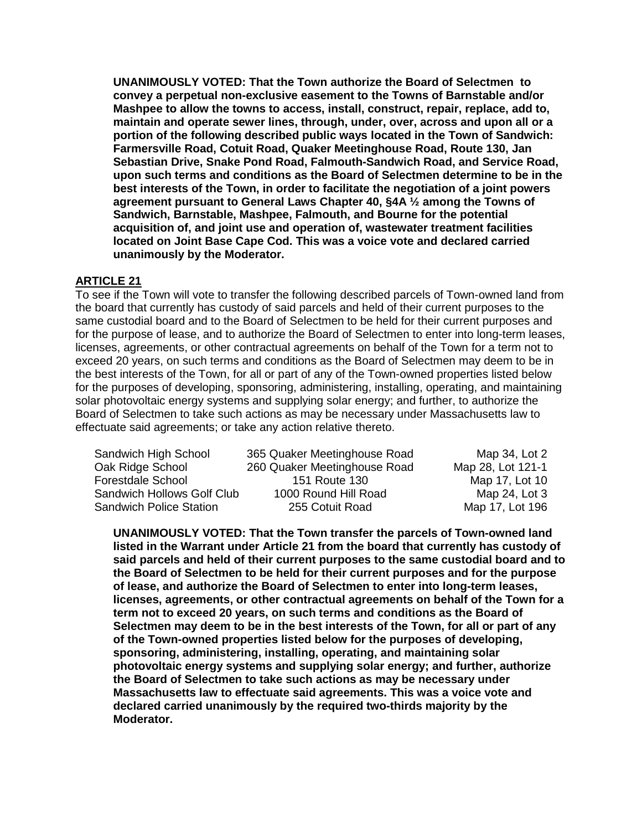**UNANIMOUSLY VOTED: That the Town authorize the Board of Selectmen to convey a perpetual non-exclusive easement to the Towns of Barnstable and/or Mashpee to allow the towns to access, install, construct, repair, replace, add to, maintain and operate sewer lines, through, under, over, across and upon all or a portion of the following described public ways located in the Town of Sandwich: Farmersville Road, Cotuit Road, Quaker Meetinghouse Road, Route 130, Jan Sebastian Drive, Snake Pond Road, Falmouth-Sandwich Road, and Service Road, upon such terms and conditions as the Board of Selectmen determine to be in the best interests of the Town, in order to facilitate the negotiation of a joint powers agreement pursuant to General Laws Chapter 40, §4A ½ among the Towns of Sandwich, Barnstable, Mashpee, Falmouth, and Bourne for the potential acquisition of, and joint use and operation of, wastewater treatment facilities located on Joint Base Cape Cod. This was a voice vote and declared carried unanimously by the Moderator.**

## **ARTICLE 21**

To see if the Town will vote to transfer the following described parcels of Town-owned land from the board that currently has custody of said parcels and held of their current purposes to the same custodial board and to the Board of Selectmen to be held for their current purposes and for the purpose of lease, and to authorize the Board of Selectmen to enter into long-term leases, licenses, agreements, or other contractual agreements on behalf of the Town for a term not to exceed 20 years, on such terms and conditions as the Board of Selectmen may deem to be in the best interests of the Town, for all or part of any of the Town-owned properties listed below for the purposes of developing, sponsoring, administering, installing, operating, and maintaining solar photovoltaic energy systems and supplying solar energy; and further, to authorize the Board of Selectmen to take such actions as may be necessary under Massachusetts law to effectuate said agreements; or take any action relative thereto.

| Sandwich High School           | 365 Quaker Meetinghouse Road | Map 34, Lot 2     |
|--------------------------------|------------------------------|-------------------|
| Oak Ridge School               | 260 Quaker Meetinghouse Road | Map 28, Lot 121-1 |
| <b>Forestdale School</b>       | 151 Route 130                | Map 17, Lot 10    |
| Sandwich Hollows Golf Club     | 1000 Round Hill Road         | Map 24, Lot 3     |
| <b>Sandwich Police Station</b> | 255 Cotuit Road              | Map 17, Lot 196   |

**UNANIMOUSLY VOTED: That the Town transfer the parcels of Town-owned land listed in the Warrant under Article 21 from the board that currently has custody of said parcels and held of their current purposes to the same custodial board and to the Board of Selectmen to be held for their current purposes and for the purpose of lease, and authorize the Board of Selectmen to enter into long-term leases, licenses, agreements, or other contractual agreements on behalf of the Town for a term not to exceed 20 years, on such terms and conditions as the Board of Selectmen may deem to be in the best interests of the Town, for all or part of any of the Town-owned properties listed below for the purposes of developing, sponsoring, administering, installing, operating, and maintaining solar photovoltaic energy systems and supplying solar energy; and further, authorize the Board of Selectmen to take such actions as may be necessary under Massachusetts law to effectuate said agreements. This was a voice vote and declared carried unanimously by the required two-thirds majority by the Moderator.**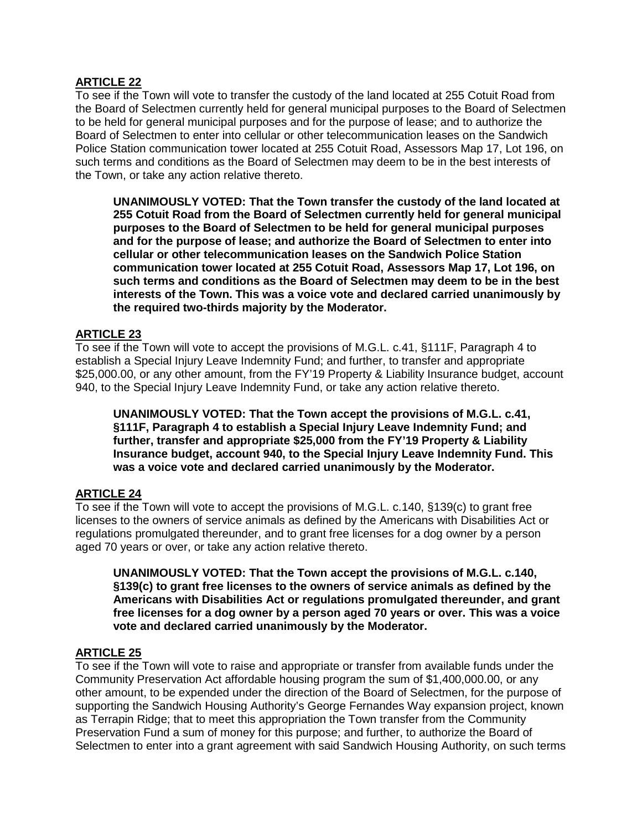## **ARTICLE 22**

To see if the Town will vote to transfer the custody of the land located at 255 Cotuit Road from the Board of Selectmen currently held for general municipal purposes to the Board of Selectmen to be held for general municipal purposes and for the purpose of lease; and to authorize the Board of Selectmen to enter into cellular or other telecommunication leases on the Sandwich Police Station communication tower located at 255 Cotuit Road, Assessors Map 17, Lot 196, on such terms and conditions as the Board of Selectmen may deem to be in the best interests of the Town, or take any action relative thereto.

**UNANIMOUSLY VOTED: That the Town transfer the custody of the land located at 255 Cotuit Road from the Board of Selectmen currently held for general municipal purposes to the Board of Selectmen to be held for general municipal purposes and for the purpose of lease; and authorize the Board of Selectmen to enter into cellular or other telecommunication leases on the Sandwich Police Station communication tower located at 255 Cotuit Road, Assessors Map 17, Lot 196, on such terms and conditions as the Board of Selectmen may deem to be in the best interests of the Town. This was a voice vote and declared carried unanimously by the required two-thirds majority by the Moderator.**

## **ARTICLE 23**

To see if the Town will vote to accept the provisions of M.G.L. c.41, §111F, Paragraph 4 to establish a Special Injury Leave Indemnity Fund; and further, to transfer and appropriate \$25,000.00, or any other amount, from the FY'19 Property & Liability Insurance budget, account 940, to the Special Injury Leave Indemnity Fund, or take any action relative thereto.

**UNANIMOUSLY VOTED: That the Town accept the provisions of M.G.L. c.41, §111F, Paragraph 4 to establish a Special Injury Leave Indemnity Fund; and further, transfer and appropriate \$25,000 from the FY'19 Property & Liability Insurance budget, account 940, to the Special Injury Leave Indemnity Fund. This was a voice vote and declared carried unanimously by the Moderator.**

# **ARTICLE 24**

To see if the Town will vote to accept the provisions of M.G.L. c.140, §139(c) to grant free licenses to the owners of service animals as defined by the Americans with Disabilities Act or regulations promulgated thereunder, and to grant free licenses for a dog owner by a person aged 70 years or over, or take any action relative thereto.

**UNANIMOUSLY VOTED: That the Town accept the provisions of M.G.L. c.140, §139(c) to grant free licenses to the owners of service animals as defined by the Americans with Disabilities Act or regulations promulgated thereunder, and grant free licenses for a dog owner by a person aged 70 years or over. This was a voice vote and declared carried unanimously by the Moderator.**

### **ARTICLE 25**

To see if the Town will vote to raise and appropriate or transfer from available funds under the Community Preservation Act affordable housing program the sum of \$1,400,000.00, or any other amount, to be expended under the direction of the Board of Selectmen, for the purpose of supporting the Sandwich Housing Authority's George Fernandes Way expansion project, known as Terrapin Ridge; that to meet this appropriation the Town transfer from the Community Preservation Fund a sum of money for this purpose; and further, to authorize the Board of Selectmen to enter into a grant agreement with said Sandwich Housing Authority, on such terms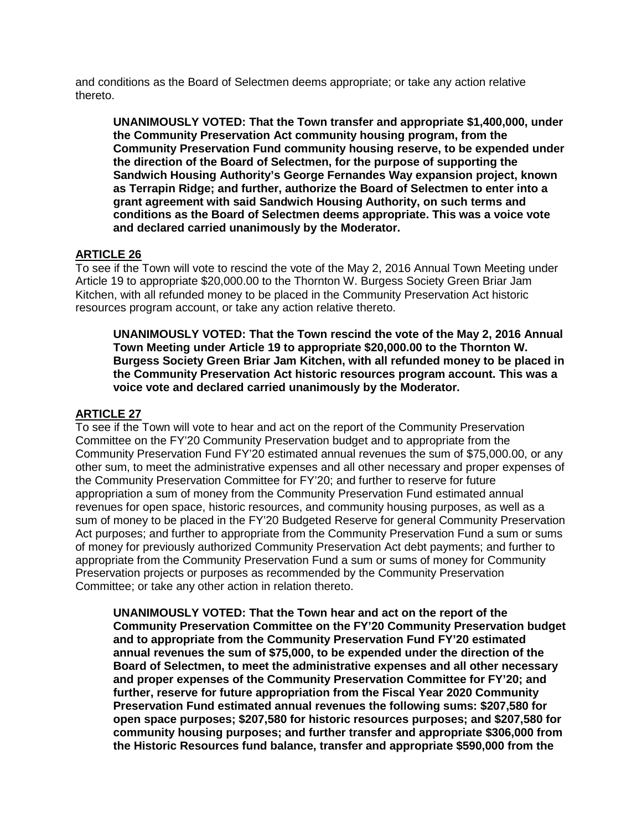and conditions as the Board of Selectmen deems appropriate; or take any action relative thereto.

**UNANIMOUSLY VOTED: That the Town transfer and appropriate \$1,400,000, under the Community Preservation Act community housing program, from the Community Preservation Fund community housing reserve, to be expended under the direction of the Board of Selectmen, for the purpose of supporting the Sandwich Housing Authority's George Fernandes Way expansion project, known as Terrapin Ridge; and further, authorize the Board of Selectmen to enter into a grant agreement with said Sandwich Housing Authority, on such terms and conditions as the Board of Selectmen deems appropriate. This was a voice vote and declared carried unanimously by the Moderator.**

### **ARTICLE 26**

To see if the Town will vote to rescind the vote of the May 2, 2016 Annual Town Meeting under Article 19 to appropriate \$20,000.00 to the Thornton W. Burgess Society Green Briar Jam Kitchen, with all refunded money to be placed in the Community Preservation Act historic resources program account, or take any action relative thereto.

**UNANIMOUSLY VOTED: That the Town rescind the vote of the May 2, 2016 Annual Town Meeting under Article 19 to appropriate \$20,000.00 to the Thornton W. Burgess Society Green Briar Jam Kitchen, with all refunded money to be placed in the Community Preservation Act historic resources program account. This was a voice vote and declared carried unanimously by the Moderator.**

#### **ARTICLE 27**

To see if the Town will vote to hear and act on the report of the Community Preservation Committee on the FY'20 Community Preservation budget and to appropriate from the Community Preservation Fund FY'20 estimated annual revenues the sum of \$75,000.00, or any other sum, to meet the administrative expenses and all other necessary and proper expenses of the Community Preservation Committee for FY'20; and further to reserve for future appropriation a sum of money from the Community Preservation Fund estimated annual revenues for open space, historic resources, and community housing purposes, as well as a sum of money to be placed in the FY'20 Budgeted Reserve for general Community Preservation Act purposes; and further to appropriate from the Community Preservation Fund a sum or sums of money for previously authorized Community Preservation Act debt payments; and further to appropriate from the Community Preservation Fund a sum or sums of money for Community Preservation projects or purposes as recommended by the Community Preservation Committee; or take any other action in relation thereto.

**UNANIMOUSLY VOTED: That the Town hear and act on the report of the Community Preservation Committee on the FY'20 Community Preservation budget and to appropriate from the Community Preservation Fund FY'20 estimated annual revenues the sum of \$75,000, to be expended under the direction of the Board of Selectmen, to meet the administrative expenses and all other necessary and proper expenses of the Community Preservation Committee for FY'20; and further, reserve for future appropriation from the Fiscal Year 2020 Community Preservation Fund estimated annual revenues the following sums: \$207,580 for open space purposes; \$207,580 for historic resources purposes; and \$207,580 for community housing purposes; and further transfer and appropriate \$306,000 from the Historic Resources fund balance, transfer and appropriate \$590,000 from the**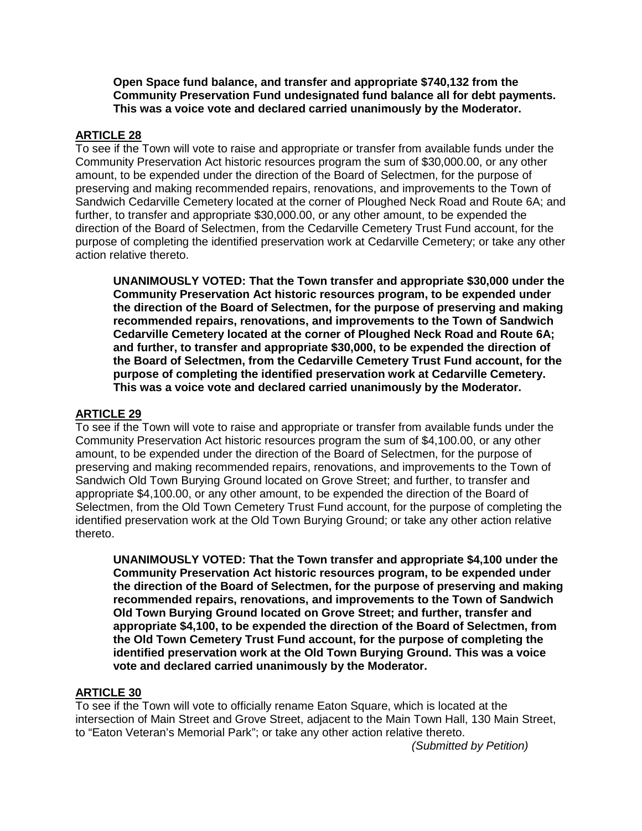**Open Space fund balance, and transfer and appropriate \$740,132 from the Community Preservation Fund undesignated fund balance all for debt payments. This was a voice vote and declared carried unanimously by the Moderator.**

### **ARTICLE 28**

To see if the Town will vote to raise and appropriate or transfer from available funds under the Community Preservation Act historic resources program the sum of \$30,000.00, or any other amount, to be expended under the direction of the Board of Selectmen, for the purpose of preserving and making recommended repairs, renovations, and improvements to the Town of Sandwich Cedarville Cemetery located at the corner of Ploughed Neck Road and Route 6A; and further, to transfer and appropriate \$30,000.00, or any other amount, to be expended the direction of the Board of Selectmen, from the Cedarville Cemetery Trust Fund account, for the purpose of completing the identified preservation work at Cedarville Cemetery; or take any other action relative thereto.

**UNANIMOUSLY VOTED: That the Town transfer and appropriate \$30,000 under the Community Preservation Act historic resources program, to be expended under the direction of the Board of Selectmen, for the purpose of preserving and making recommended repairs, renovations, and improvements to the Town of Sandwich Cedarville Cemetery located at the corner of Ploughed Neck Road and Route 6A; and further, to transfer and appropriate \$30,000, to be expended the direction of the Board of Selectmen, from the Cedarville Cemetery Trust Fund account, for the purpose of completing the identified preservation work at Cedarville Cemetery. This was a voice vote and declared carried unanimously by the Moderator.**

#### **ARTICLE 29**

To see if the Town will vote to raise and appropriate or transfer from available funds under the Community Preservation Act historic resources program the sum of \$4,100.00, or any other amount, to be expended under the direction of the Board of Selectmen, for the purpose of preserving and making recommended repairs, renovations, and improvements to the Town of Sandwich Old Town Burying Ground located on Grove Street; and further, to transfer and appropriate \$4,100.00, or any other amount, to be expended the direction of the Board of Selectmen, from the Old Town Cemetery Trust Fund account, for the purpose of completing the identified preservation work at the Old Town Burying Ground; or take any other action relative thereto.

**UNANIMOUSLY VOTED: That the Town transfer and appropriate \$4,100 under the Community Preservation Act historic resources program, to be expended under the direction of the Board of Selectmen, for the purpose of preserving and making recommended repairs, renovations, and improvements to the Town of Sandwich Old Town Burying Ground located on Grove Street; and further, transfer and appropriate \$4,100, to be expended the direction of the Board of Selectmen, from the Old Town Cemetery Trust Fund account, for the purpose of completing the identified preservation work at the Old Town Burying Ground. This was a voice vote and declared carried unanimously by the Moderator.**

## **ARTICLE 30**

To see if the Town will vote to officially rename Eaton Square, which is located at the intersection of Main Street and Grove Street, adjacent to the Main Town Hall, 130 Main Street, to "Eaton Veteran's Memorial Park"; or take any other action relative thereto.

*(Submitted by Petition)*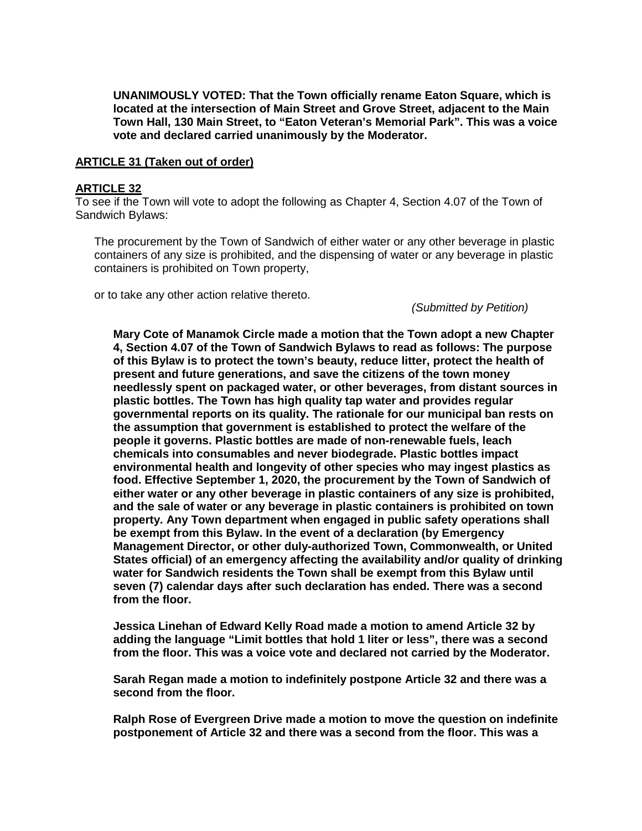**UNANIMOUSLY VOTED: That the Town officially rename Eaton Square, which is located at the intersection of Main Street and Grove Street, adjacent to the Main Town Hall, 130 Main Street, to "Eaton Veteran's Memorial Park". This was a voice vote and declared carried unanimously by the Moderator.**

#### **ARTICLE 31 (Taken out of order)**

#### **ARTICLE 32**

To see if the Town will vote to adopt the following as Chapter 4, Section 4.07 of the Town of Sandwich Bylaws:

The procurement by the Town of Sandwich of either water or any other beverage in plastic containers of any size is prohibited, and the dispensing of water or any beverage in plastic containers is prohibited on Town property,

or to take any other action relative thereto.

*(Submitted by Petition)*

**Mary Cote of Manamok Circle made a motion that the Town adopt a new Chapter 4, Section 4.07 of the Town of Sandwich Bylaws to read as follows: The purpose of this Bylaw is to protect the town's beauty, reduce litter, protect the health of present and future generations, and save the citizens of the town money needlessly spent on packaged water, or other beverages, from distant sources in plastic bottles. The Town has high quality tap water and provides regular governmental reports on its quality. The rationale for our municipal ban rests on the assumption that government is established to protect the welfare of the people it governs. Plastic bottles are made of non-renewable fuels, leach chemicals into consumables and never biodegrade. Plastic bottles impact environmental health and longevity of other species who may ingest plastics as food. Effective September 1, 2020, the procurement by the Town of Sandwich of either water or any other beverage in plastic containers of any size is prohibited, and the sale of water or any beverage in plastic containers is prohibited on town property. Any Town department when engaged in public safety operations shall be exempt from this Bylaw. In the event of a declaration (by Emergency Management Director, or other duly-authorized Town, Commonwealth, or United States official) of an emergency affecting the availability and/or quality of drinking water for Sandwich residents the Town shall be exempt from this Bylaw until seven (7) calendar days after such declaration has ended. There was a second from the floor.**

**Jessica Linehan of Edward Kelly Road made a motion to amend Article 32 by adding the language "Limit bottles that hold 1 liter or less", there was a second from the floor. This was a voice vote and declared not carried by the Moderator.**

**Sarah Regan made a motion to indefinitely postpone Article 32 and there was a second from the floor.**

**Ralph Rose of Evergreen Drive made a motion to move the question on indefinite postponement of Article 32 and there was a second from the floor. This was a**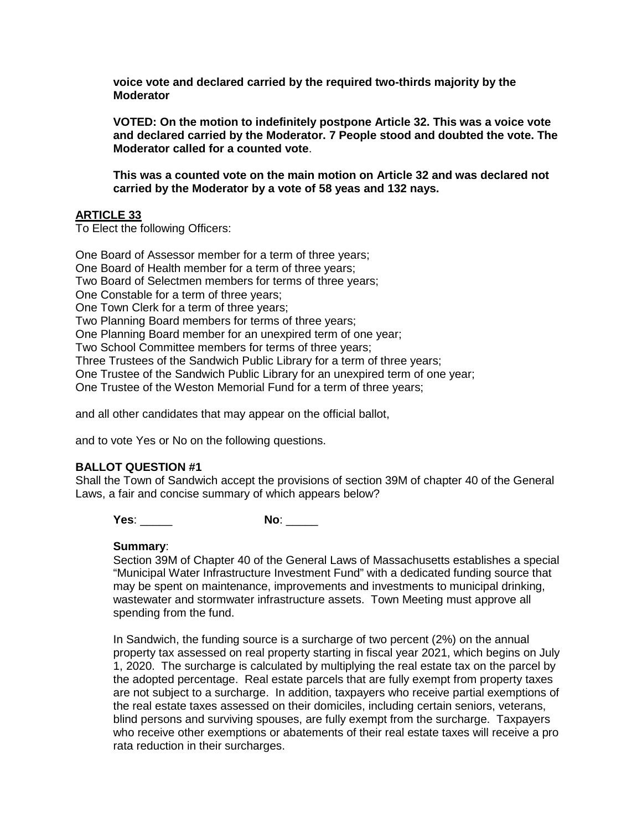**voice vote and declared carried by the required two-thirds majority by the Moderator**

**VOTED: On the motion to indefinitely postpone Article 32. This was a voice vote and declared carried by the Moderator. 7 People stood and doubted the vote. The Moderator called for a counted vote**.

**This was a counted vote on the main motion on Article 32 and was declared not carried by the Moderator by a vote of 58 yeas and 132 nays.**

## **ARTICLE 33**

To Elect the following Officers:

One Board of Assessor member for a term of three years; One Board of Health member for a term of three years; Two Board of Selectmen members for terms of three years; One Constable for a term of three years; One Town Clerk for a term of three years; Two Planning Board members for terms of three years; One Planning Board member for an unexpired term of one year; Two School Committee members for terms of three years; Three Trustees of the Sandwich Public Library for a term of three years; One Trustee of the Sandwich Public Library for an unexpired term of one year; One Trustee of the Weston Memorial Fund for a term of three years;

and all other candidates that may appear on the official ballot,

and to vote Yes or No on the following questions.

## **BALLOT QUESTION #1**

Shall the Town of Sandwich accept the provisions of section 39M of chapter 40 of the General Laws, a fair and concise summary of which appears below?

**Yes**: \_\_\_\_\_ **No**: \_\_\_\_\_

#### **Summary**:

Section 39M of Chapter 40 of the General Laws of Massachusetts establishes a special "Municipal Water Infrastructure Investment Fund" with a dedicated funding source that may be spent on maintenance, improvements and investments to municipal drinking, wastewater and stormwater infrastructure assets. Town Meeting must approve all spending from the fund.

In Sandwich, the funding source is a surcharge of two percent (2%) on the annual property tax assessed on real property starting in fiscal year 2021, which begins on July 1, 2020. The surcharge is calculated by multiplying the real estate tax on the parcel by the adopted percentage. Real estate parcels that are fully exempt from property taxes are not subject to a surcharge. In addition, taxpayers who receive partial exemptions of the real estate taxes assessed on their domiciles, including certain seniors, veterans, blind persons and surviving spouses, are fully exempt from the surcharge. Taxpayers who receive other exemptions or abatements of their real estate taxes will receive a pro rata reduction in their surcharges.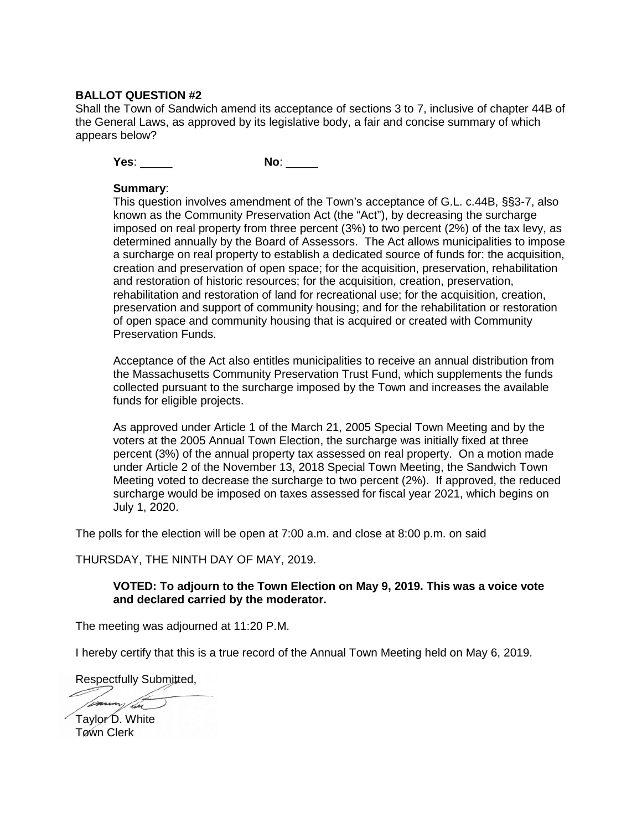#### **BALLOT QUESTION #2**

Shall the Town of Sandwich amend its acceptance of sections 3 to 7, inclusive of chapter 44B of the General Laws, as approved by its legislative body, a fair and concise summary of which appears below?

**Yes**: \_\_\_\_\_ **No**: \_\_\_\_\_

#### **Summary**:

This question involves amendment of the Town's acceptance of G.L. c.44B, §§3-7, also known as the Community Preservation Act (the "Act"), by decreasing the surcharge imposed on real property from three percent (3%) to two percent (2%) of the tax levy, as determined annually by the Board of Assessors. The Act allows municipalities to impose a surcharge on real property to establish a dedicated source of funds for: the acquisition, creation and preservation of open space; for the acquisition, preservation, rehabilitation and restoration of historic resources; for the acquisition, creation, preservation, rehabilitation and restoration of land for recreational use; for the acquisition, creation, preservation and support of community housing; and for the rehabilitation or restoration of open space and community housing that is acquired or created with Community Preservation Funds.

Acceptance of the Act also entitles municipalities to receive an annual distribution from the Massachusetts Community Preservation Trust Fund, which supplements the funds collected pursuant to the surcharge imposed by the Town and increases the available funds for eligible projects.

As approved under Article 1 of the March 21, 2005 Special Town Meeting and by the voters at the 2005 Annual Town Election, the surcharge was initially fixed at three percent (3%) of the annual property tax assessed on real property. On a motion made under Article 2 of the November 13, 2018 Special Town Meeting, the Sandwich Town Meeting voted to decrease the surcharge to two percent (2%). If approved, the reduced surcharge would be imposed on taxes assessed for fiscal year 2021, which begins on July 1, 2020.

The polls for the election will be open at 7:00 a.m. and close at 8:00 p.m. on said

THURSDAY, THE NINTH DAY OF MAY, 2019.

#### **VOTED: To adjourn to the Town Election on May 9, 2019. This was a voice vote and declared carried by the moderator.**

The meeting was adjourned at 11:20 P.M.

I hereby certify that this is a true record of the Annual Town Meeting held on May 6, 2019.

Respectfully Submitted,

Taylor D. White Town Clerk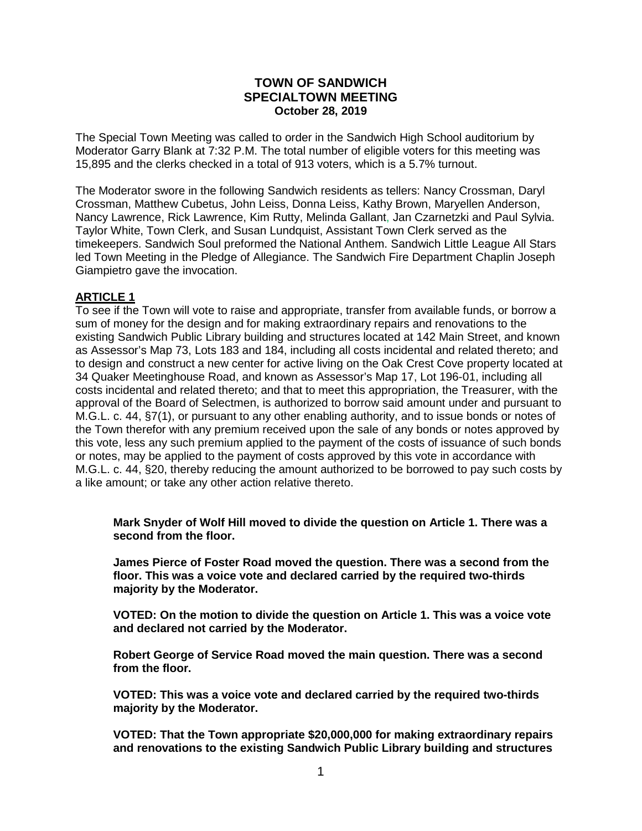### **TOWN OF SANDWICH SPECIALTOWN MEETING October 28, 2019**

The Special Town Meeting was called to order in the Sandwich High School auditorium by Moderator Garry Blank at 7:32 P.M. The total number of eligible voters for this meeting was 15,895 and the clerks checked in a total of 913 voters, which is a 5.7% turnout.

The Moderator swore in the following Sandwich residents as tellers: Nancy Crossman, Daryl Crossman, Matthew Cubetus, John Leiss, Donna Leiss, Kathy Brown, Maryellen Anderson, Nancy Lawrence, Rick Lawrence, Kim Rutty, Melinda Gallant, Jan Czarnetzki and Paul Sylvia. Taylor White, Town Clerk, and Susan Lundquist, Assistant Town Clerk served as the timekeepers. Sandwich Soul preformed the National Anthem. Sandwich Little League All Stars led Town Meeting in the Pledge of Allegiance. The Sandwich Fire Department Chaplin Joseph Giampietro gave the invocation.

### **ARTICLE 1**

To see if the Town will vote to raise and appropriate, transfer from available funds, or borrow a sum of money for the design and for making extraordinary repairs and renovations to the existing Sandwich Public Library building and structures located at 142 Main Street, and known as Assessor's Map 73, Lots 183 and 184, including all costs incidental and related thereto; and to design and construct a new center for active living on the Oak Crest Cove property located at 34 Quaker Meetinghouse Road, and known as Assessor's Map 17, Lot 196-01, including all costs incidental and related thereto; and that to meet this appropriation, the Treasurer, with the approval of the Board of Selectmen, is authorized to borrow said amount under and pursuant to M.G.L. c. 44, §7(1), or pursuant to any other enabling authority, and to issue bonds or notes of the Town therefor with any premium received upon the sale of any bonds or notes approved by this vote, less any such premium applied to the payment of the costs of issuance of such bonds or notes, may be applied to the payment of costs approved by this vote in accordance with M.G.L. c. 44, §20, thereby reducing the amount authorized to be borrowed to pay such costs by a like amount; or take any other action relative thereto.

**Mark Snyder of Wolf Hill moved to divide the question on Article 1. There was a second from the floor.** 

**James Pierce of Foster Road moved the question. There was a second from the floor. This was a voice vote and declared carried by the required two-thirds majority by the Moderator.**

**VOTED: On the motion to divide the question on Article 1. This was a voice vote and declared not carried by the Moderator.**

**Robert George of Service Road moved the main question. There was a second from the floor.** 

**VOTED: This was a voice vote and declared carried by the required two-thirds majority by the Moderator.**

**VOTED: That the Town appropriate \$20,000,000 for making extraordinary repairs and renovations to the existing Sandwich Public Library building and structures**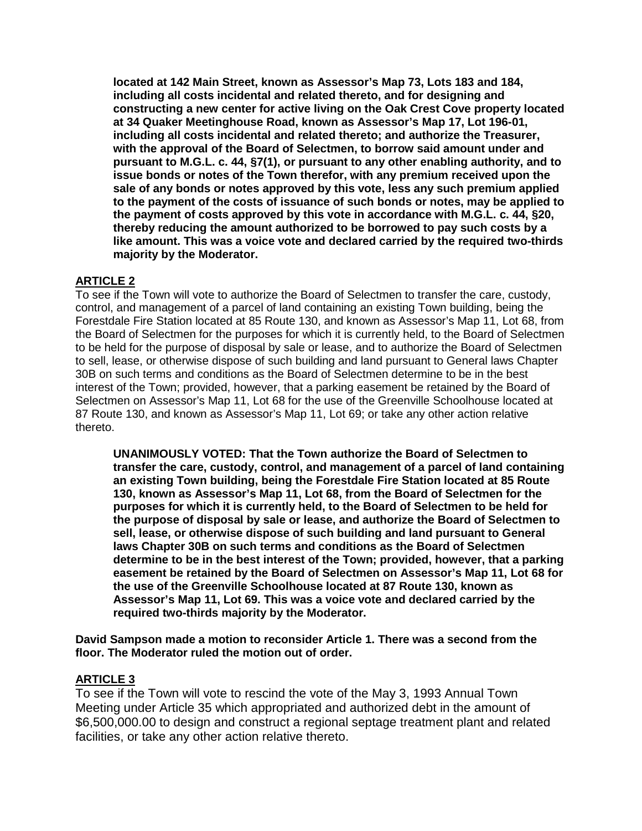**located at 142 Main Street, known as Assessor's Map 73, Lots 183 and 184, including all costs incidental and related thereto, and for designing and constructing a new center for active living on the Oak Crest Cove property located at 34 Quaker Meetinghouse Road, known as Assessor's Map 17, Lot 196-01, including all costs incidental and related thereto; and authorize the Treasurer, with the approval of the Board of Selectmen, to borrow said amount under and pursuant to M.G.L. c. 44, §7(1), or pursuant to any other enabling authority, and to issue bonds or notes of the Town therefor, with any premium received upon the sale of any bonds or notes approved by this vote, less any such premium applied to the payment of the costs of issuance of such bonds or notes, may be applied to the payment of costs approved by this vote in accordance with M.G.L. c. 44, §20, thereby reducing the amount authorized to be borrowed to pay such costs by a like amount. This was a voice vote and declared carried by the required two-thirds majority by the Moderator.**

## **ARTICLE 2**

To see if the Town will vote to authorize the Board of Selectmen to transfer the care, custody, control, and management of a parcel of land containing an existing Town building, being the Forestdale Fire Station located at 85 Route 130, and known as Assessor's Map 11, Lot 68, from the Board of Selectmen for the purposes for which it is currently held, to the Board of Selectmen to be held for the purpose of disposal by sale or lease, and to authorize the Board of Selectmen to sell, lease, or otherwise dispose of such building and land pursuant to General laws Chapter 30B on such terms and conditions as the Board of Selectmen determine to be in the best interest of the Town; provided, however, that a parking easement be retained by the Board of Selectmen on Assessor's Map 11, Lot 68 for the use of the Greenville Schoolhouse located at 87 Route 130, and known as Assessor's Map 11, Lot 69; or take any other action relative thereto.

**UNANIMOUSLY VOTED: That the Town authorize the Board of Selectmen to transfer the care, custody, control, and management of a parcel of land containing an existing Town building, being the Forestdale Fire Station located at 85 Route 130, known as Assessor's Map 11, Lot 68, from the Board of Selectmen for the purposes for which it is currently held, to the Board of Selectmen to be held for the purpose of disposal by sale or lease, and authorize the Board of Selectmen to sell, lease, or otherwise dispose of such building and land pursuant to General laws Chapter 30B on such terms and conditions as the Board of Selectmen determine to be in the best interest of the Town; provided, however, that a parking easement be retained by the Board of Selectmen on Assessor's Map 11, Lot 68 for the use of the Greenville Schoolhouse located at 87 Route 130, known as Assessor's Map 11, Lot 69. This was a voice vote and declared carried by the required two-thirds majority by the Moderator.**

**David Sampson made a motion to reconsider Article 1. There was a second from the floor. The Moderator ruled the motion out of order.** 

## **ARTICLE 3**

To see if the Town will vote to rescind the vote of the May 3, 1993 Annual Town Meeting under Article 35 which appropriated and authorized debt in the amount of \$6,500,000.00 to design and construct a regional septage treatment plant and related facilities, or take any other action relative thereto.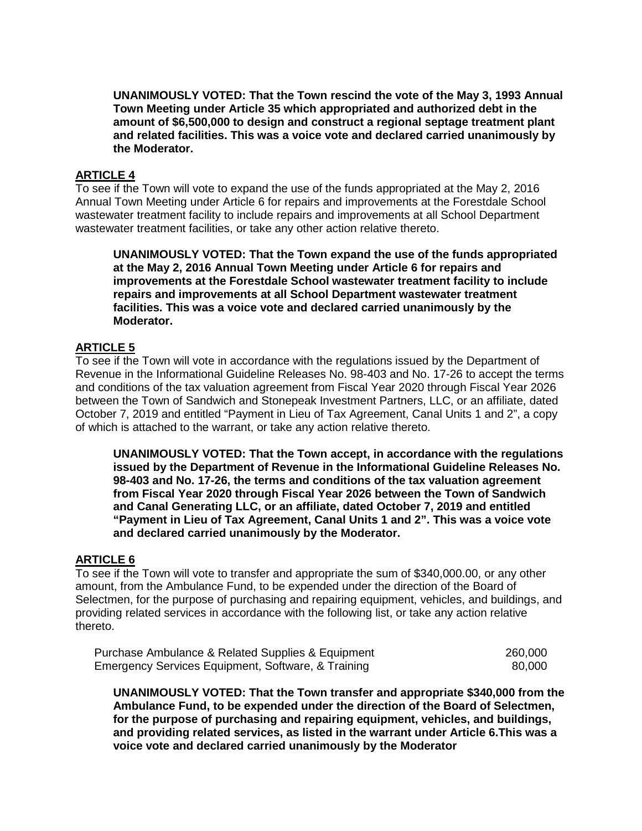**UNANIMOUSLY VOTED: That the Town rescind the vote of the May 3, 1993 Annual Town Meeting under Article 35 which appropriated and authorized debt in the amount of \$6,500,000 to design and construct a regional septage treatment plant and related facilities. This was a voice vote and declared carried unanimously by the Moderator.**

#### **ARTICLE 4**

To see if the Town will vote to expand the use of the funds appropriated at the May 2, 2016 Annual Town Meeting under Article 6 for repairs and improvements at the Forestdale School wastewater treatment facility to include repairs and improvements at all School Department wastewater treatment facilities, or take any other action relative thereto.

**UNANIMOUSLY VOTED: That the Town expand the use of the funds appropriated at the May 2, 2016 Annual Town Meeting under Article 6 for repairs and improvements at the Forestdale School wastewater treatment facility to include repairs and improvements at all School Department wastewater treatment facilities. This was a voice vote and declared carried unanimously by the Moderator.**

#### **ARTICLE 5**

To see if the Town will vote in accordance with the regulations issued by the Department of Revenue in the Informational Guideline Releases No. 98-403 and No. 17-26 to accept the terms and conditions of the tax valuation agreement from Fiscal Year 2020 through Fiscal Year 2026 between the Town of Sandwich and Stonepeak Investment Partners, LLC, or an affiliate, dated October 7, 2019 and entitled "Payment in Lieu of Tax Agreement, Canal Units 1 and 2", a copy of which is attached to the warrant, or take any action relative thereto.

**UNANIMOUSLY VOTED: That the Town accept, in accordance with the regulations issued by the Department of Revenue in the Informational Guideline Releases No. 98-403 and No. 17-26, the terms and conditions of the tax valuation agreement from Fiscal Year 2020 through Fiscal Year 2026 between the Town of Sandwich and Canal Generating LLC, or an affiliate, dated October 7, 2019 and entitled "Payment in Lieu of Tax Agreement, Canal Units 1 and 2". This was a voice vote and declared carried unanimously by the Moderator.**

#### **ARTICLE 6**

To see if the Town will vote to transfer and appropriate the sum of \$340,000.00, or any other amount, from the Ambulance Fund, to be expended under the direction of the Board of Selectmen, for the purpose of purchasing and repairing equipment, vehicles, and buildings, and providing related services in accordance with the following list, or take any action relative thereto.

| Purchase Ambulance & Related Supplies & Equipment  | 260,000 |
|----------------------------------------------------|---------|
| Emergency Services Equipment, Software, & Training | 80.000  |

**UNANIMOUSLY VOTED: That the Town transfer and appropriate \$340,000 from the Ambulance Fund, to be expended under the direction of the Board of Selectmen, for the purpose of purchasing and repairing equipment, vehicles, and buildings, and providing related services, as listed in the warrant under Article 6.This was a voice vote and declared carried unanimously by the Moderator**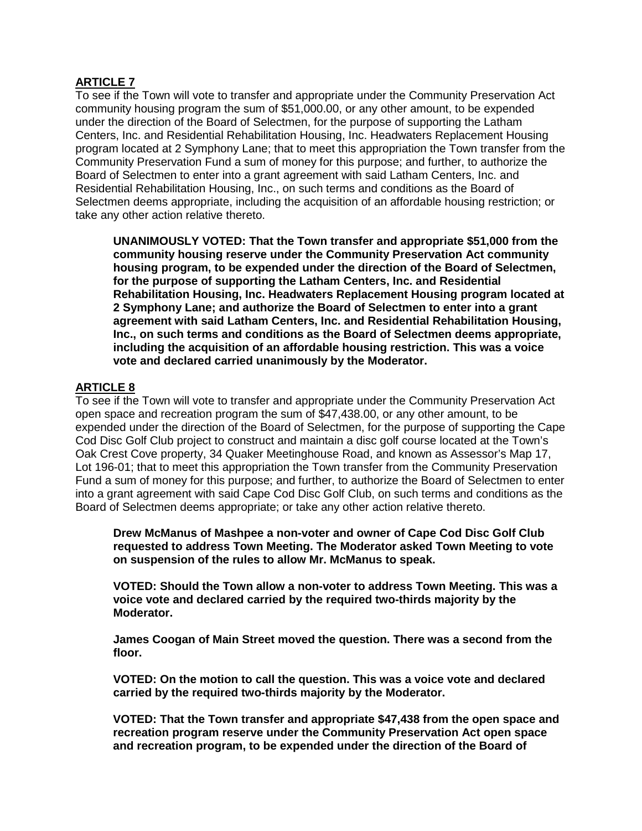## **ARTICLE 7**

To see if the Town will vote to transfer and appropriate under the Community Preservation Act community housing program the sum of \$51,000.00, or any other amount, to be expended under the direction of the Board of Selectmen, for the purpose of supporting the Latham Centers, Inc. and Residential Rehabilitation Housing, Inc. Headwaters Replacement Housing program located at 2 Symphony Lane; that to meet this appropriation the Town transfer from the Community Preservation Fund a sum of money for this purpose; and further, to authorize the Board of Selectmen to enter into a grant agreement with said Latham Centers, Inc. and Residential Rehabilitation Housing, Inc., on such terms and conditions as the Board of Selectmen deems appropriate, including the acquisition of an affordable housing restriction; or take any other action relative thereto.

**UNANIMOUSLY VOTED: That the Town transfer and appropriate \$51,000 from the community housing reserve under the Community Preservation Act community housing program, to be expended under the direction of the Board of Selectmen, for the purpose of supporting the Latham Centers, Inc. and Residential Rehabilitation Housing, Inc. Headwaters Replacement Housing program located at 2 Symphony Lane; and authorize the Board of Selectmen to enter into a grant agreement with said Latham Centers, Inc. and Residential Rehabilitation Housing, Inc., on such terms and conditions as the Board of Selectmen deems appropriate, including the acquisition of an affordable housing restriction. This was a voice vote and declared carried unanimously by the Moderator.**

# **ARTICLE 8**

To see if the Town will vote to transfer and appropriate under the Community Preservation Act open space and recreation program the sum of \$47,438.00, or any other amount, to be expended under the direction of the Board of Selectmen, for the purpose of supporting the Cape Cod Disc Golf Club project to construct and maintain a disc golf course located at the Town's Oak Crest Cove property, 34 Quaker Meetinghouse Road, and known as Assessor's Map 17, Lot 196-01; that to meet this appropriation the Town transfer from the Community Preservation Fund a sum of money for this purpose; and further, to authorize the Board of Selectmen to enter into a grant agreement with said Cape Cod Disc Golf Club, on such terms and conditions as the Board of Selectmen deems appropriate; or take any other action relative thereto.

**Drew McManus of Mashpee a non-voter and owner of Cape Cod Disc Golf Club requested to address Town Meeting. The Moderator asked Town Meeting to vote on suspension of the rules to allow Mr. McManus to speak.**

**VOTED: Should the Town allow a non-voter to address Town Meeting. This was a voice vote and declared carried by the required two-thirds majority by the Moderator.**

**James Coogan of Main Street moved the question. There was a second from the floor.** 

**VOTED: On the motion to call the question. This was a voice vote and declared carried by the required two-thirds majority by the Moderator.**

**VOTED: That the Town transfer and appropriate \$47,438 from the open space and recreation program reserve under the Community Preservation Act open space and recreation program, to be expended under the direction of the Board of**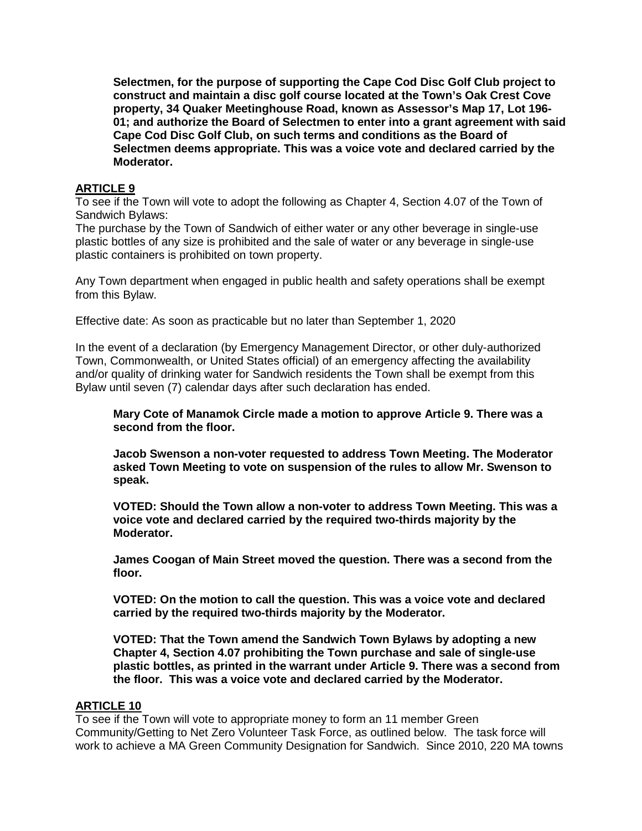**Selectmen, for the purpose of supporting the Cape Cod Disc Golf Club project to construct and maintain a disc golf course located at the Town's Oak Crest Cove property, 34 Quaker Meetinghouse Road, known as Assessor's Map 17, Lot 196- 01; and authorize the Board of Selectmen to enter into a grant agreement with said Cape Cod Disc Golf Club, on such terms and conditions as the Board of Selectmen deems appropriate. This was a voice vote and declared carried by the Moderator.**

## **ARTICLE 9**

To see if the Town will vote to adopt the following as Chapter 4, Section 4.07 of the Town of Sandwich Bylaws:

The purchase by the Town of Sandwich of either water or any other beverage in single-use plastic bottles of any size is prohibited and the sale of water or any beverage in single-use plastic containers is prohibited on town property.

Any Town department when engaged in public health and safety operations shall be exempt from this Bylaw.

Effective date: As soon as practicable but no later than September 1, 2020

In the event of a declaration (by Emergency Management Director, or other duly-authorized Town, Commonwealth, or United States official) of an emergency affecting the availability and/or quality of drinking water for Sandwich residents the Town shall be exempt from this Bylaw until seven (7) calendar days after such declaration has ended.

**Mary Cote of Manamok Circle made a motion to approve Article 9. There was a second from the floor.** 

**Jacob Swenson a non-voter requested to address Town Meeting. The Moderator asked Town Meeting to vote on suspension of the rules to allow Mr. Swenson to speak.**

**VOTED: Should the Town allow a non-voter to address Town Meeting. This was a voice vote and declared carried by the required two-thirds majority by the Moderator.**

**James Coogan of Main Street moved the question. There was a second from the floor.** 

**VOTED: On the motion to call the question. This was a voice vote and declared carried by the required two-thirds majority by the Moderator.**

**VOTED: That the Town amend the Sandwich Town Bylaws by adopting a new Chapter 4, Section 4.07 prohibiting the Town purchase and sale of single-use plastic bottles, as printed in the warrant under Article 9. There was a second from the floor. This was a voice vote and declared carried by the Moderator.**

### **ARTICLE 10**

To see if the Town will vote to appropriate money to form an 11 member Green Community/Getting to Net Zero Volunteer Task Force, as outlined below. The task force will work to achieve a MA Green Community Designation for Sandwich. Since 2010, 220 MA towns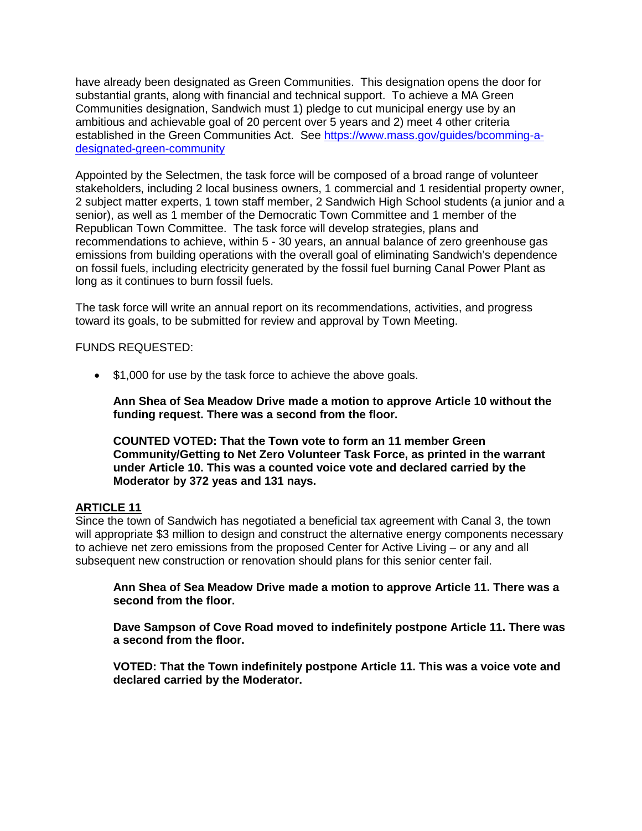have already been designated as Green Communities. This designation opens the door for substantial grants, along with financial and technical support. To achieve a MA Green Communities designation, Sandwich must 1) pledge to cut municipal energy use by an ambitious and achievable goal of 20 percent over 5 years and 2) meet 4 other criteria established in the Green Communities Act. See [https://www.mass.gov/guides/bcomming-a](https://www.mass.gov/guides/bcomming-a-designated-green-community)[designated-green-community](https://www.mass.gov/guides/bcomming-a-designated-green-community)

Appointed by the Selectmen, the task force will be composed of a broad range of volunteer stakeholders, including 2 local business owners, 1 commercial and 1 residential property owner, 2 subject matter experts, 1 town staff member, 2 Sandwich High School students (a junior and a senior), as well as 1 member of the Democratic Town Committee and 1 member of the Republican Town Committee. The task force will develop strategies, plans and recommendations to achieve, within 5 - 30 years, an annual balance of zero greenhouse gas emissions from building operations with the overall goal of eliminating Sandwich's dependence on fossil fuels, including electricity generated by the fossil fuel burning Canal Power Plant as long as it continues to burn fossil fuels.

The task force will write an annual report on its recommendations, activities, and progress toward its goals, to be submitted for review and approval by Town Meeting.

FUNDS REQUESTED:

• \$1,000 for use by the task force to achieve the above goals.

**Ann Shea of Sea Meadow Drive made a motion to approve Article 10 without the funding request. There was a second from the floor.**

**COUNTED VOTED: That the Town vote to form an 11 member Green Community/Getting to Net Zero Volunteer Task Force, as printed in the warrant under Article 10. This was a counted voice vote and declared carried by the Moderator by 372 yeas and 131 nays.**

### **ARTICLE 11**

Since the town of Sandwich has negotiated a beneficial tax agreement with Canal 3, the town will appropriate \$3 million to design and construct the alternative energy components necessary to achieve net zero emissions from the proposed Center for Active Living – or any and all subsequent new construction or renovation should plans for this senior center fail.

**Ann Shea of Sea Meadow Drive made a motion to approve Article 11. There was a second from the floor.**

**Dave Sampson of Cove Road moved to indefinitely postpone Article 11. There was a second from the floor.**

**VOTED: That the Town indefinitely postpone Article 11. This was a voice vote and declared carried by the Moderator.**